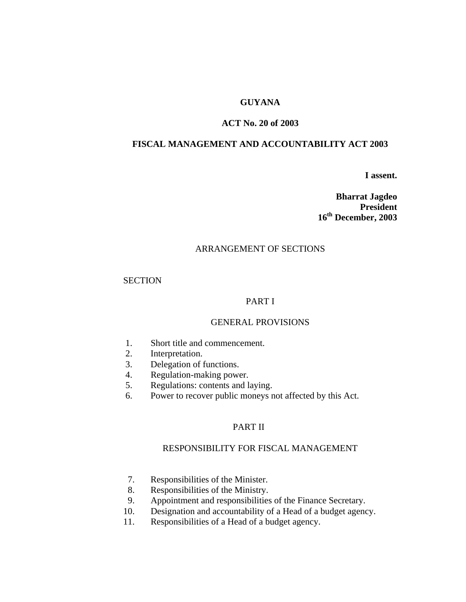# **GUYANA**

# **ACT No. 20 of 2003**

# **FISCAL MANAGEMENT AND ACCOUNTABILITY ACT 2003**

**I assent.** 

**Bharrat Jagdeo President 16th December, 2003** 

## ARRANGEMENT OF SECTIONS

## **SECTION**

# PART I

# GENERAL PROVISIONS

- 1. Short title and commencement.
- 2. Interpretation.
- 3. Delegation of functions.
- 4. Regulation-making power.
- 5. Regulations: contents and laying.
- 6. Power to recover public moneys not affected by this Act.

# PART II

## RESPONSIBILITY FOR FISCAL MANAGEMENT

- 7. Responsibilities of the Minister.
- 8. Responsibilities of the Ministry.
- 9. Appointment and responsibilities of the Finance Secretary.
- 10. Designation and accountability of a Head of a budget agency.
- 11. Responsibilities of a Head of a budget agency.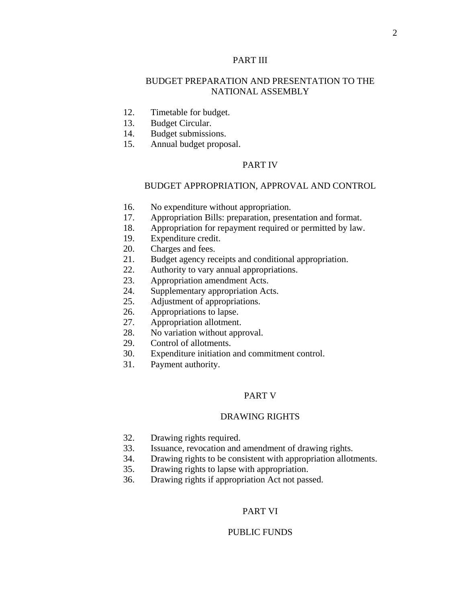# PART III

# BUDGET PREPARATION AND PRESENTATION TO THE NATIONAL ASSEMBLY

- 12. Timetable for budget.
- 13. Budget Circular.
- 14. Budget submissions.
- 15. Annual budget proposal.

## PART IV

## BUDGET APPROPRIATION, APPROVAL AND CONTROL

- 16. No expenditure without appropriation.
- 17. Appropriation Bills: preparation, presentation and format.
- 18. Appropriation for repayment required or permitted by law.
- 19. Expenditure credit.
- 20. Charges and fees.
- 21. Budget agency receipts and conditional appropriation.
- 22. Authority to vary annual appropriations.
- 23. Appropriation amendment Acts.
- 24. Supplementary appropriation Acts.
- 25. Adjustment of appropriations.
- 26. Appropriations to lapse.
- 27. Appropriation allotment.
- 28. No variation without approval.
- 29. Control of allotments.
- 30. Expenditure initiation and commitment control.
- 31. Payment authority.

#### PART V

## DRAWING RIGHTS

- 32. Drawing rights required.
- 33. Issuance, revocation and amendment of drawing rights.
- 34. Drawing rights to be consistent with appropriation allotments.
- 35. Drawing rights to lapse with appropriation.
- 36. Drawing rights if appropriation Act not passed.

## PART VI

#### PUBLIC FUNDS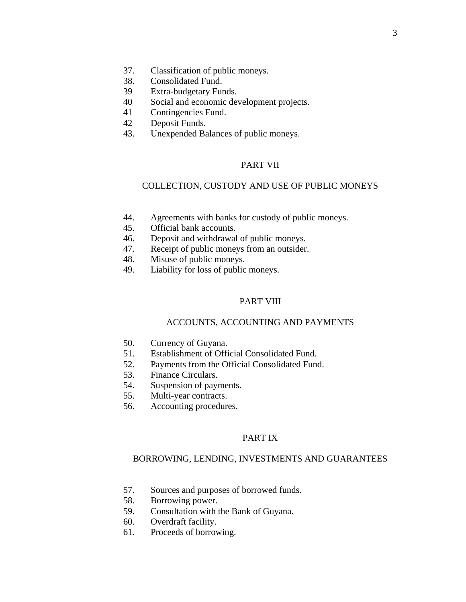- 37. Classification of public moneys.
- 38. Consolidated Fund.
- 39 Extra-budgetary Funds.
- 40 Social and economic development projects.
- 41 Contingencies Fund.
- 42 Deposit Funds.
- 43. Unexpended Balances of public moneys.

## PART VII

## COLLECTION, CUSTODY AND USE OF PUBLIC MONEYS

- 44. Agreements with banks for custody of public moneys.
- 45. Official bank accounts.
- 46. Deposit and withdrawal of public moneys.
- 47. Receipt of public moneys from an outsider.
- 48. Misuse of public moneys.
- 49. Liability for loss of public moneys.

# PART VIII

## ACCOUNTS, ACCOUNTING AND PAYMENTS

- 50. Currency of Guyana.
- 51. Establishment of Official Consolidated Fund.
- 52. Payments from the Official Consolidated Fund.
- 53. Finance Circulars.
- 54. Suspension of payments.
- 55. Multi-year contracts.
- 56. Accounting procedures.

## PART IX

#### BORROWING, LENDING, INVESTMENTS AND GUARANTEES

- 57. Sources and purposes of borrowed funds.
- 58. Borrowing power.
- 59. Consultation with the Bank of Guyana.
- 60. Overdraft facility.
- 61. Proceeds of borrowing.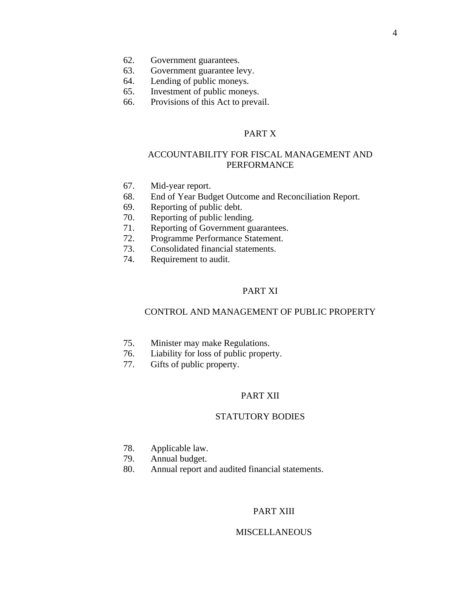- 62. Government guarantees.
- 63. Government guarantee levy.
- 64. Lending of public moneys.
- 65. Investment of public moneys.
- 66. Provisions of this Act to prevail.

# PART X

# ACCOUNTABILITY FOR FISCAL MANAGEMENT AND PERFORMANCE

- 67. Mid-year report.
- 68. End of Year Budget Outcome and Reconciliation Report.
- 69. Reporting of public debt.
- 70. Reporting of public lending.
- 71. Reporting of Government guarantees.
- 72. Programme Performance Statement.
- 73. Consolidated financial statements.
- 74. Requirement to audit.

## PART XI

## CONTROL AND MANAGEMENT OF PUBLIC PROPERTY

- 75. Minister may make Regulations.
- 76. Liability for loss of public property.
- 77. Gifts of public property.

#### PART XII

## STATUTORY BODIES

- 78. Applicable law.
- 79. Annual budget.
- 80. Annual report and audited financial statements.

# PART XIII

## **MISCELLANEOUS**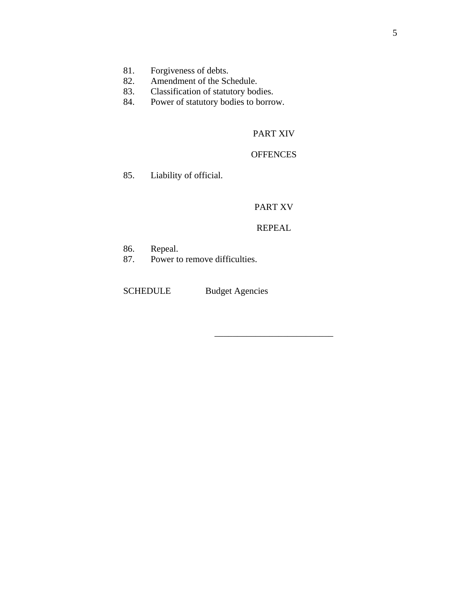- 81. Forgiveness of debts.
- 82. Amendment of the Schedule.
- 83. Classification of statutory bodies.<br>84. Power of statutory bodies to borro
- Power of statutory bodies to borrow.

# PART XIV

# **OFFENCES**

85. Liability of official.

# PART XV

## REPEAL

\_\_\_\_\_\_\_\_\_\_\_\_\_\_\_\_\_\_\_\_\_\_\_\_\_\_

- 86. Repeal.<br>87. Power to
- Power to remove difficulties.

SCHEDULE Budget Agencies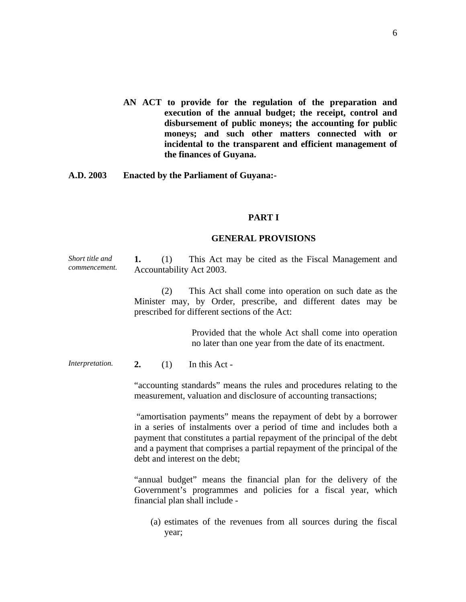- **AN ACT to provide for the regulation of the preparation and execution of the annual budget; the receipt, control and disbursement of public moneys; the accounting for public moneys; and such other matters connected with or incidental to the transparent and efficient management of the finances of Guyana.**
- **A.D. 2003 Enacted by the Parliament of Guyana:-**

#### **PART I**

#### **GENERAL PROVISIONS**

*Short title and commencement.*  **1.** (1) This Act may be cited as the Fiscal Management and Accountability Act 2003.

> (2) This Act shall come into operation on such date as the Minister may, by Order, prescribe, and different dates may be prescribed for different sections of the Act:

> > Provided that the whole Act shall come into operation no later than one year from the date of its enactment.

*Interpretation.* **2.** (1) In this Act -

"accounting standards" means the rules and procedures relating to the measurement, valuation and disclosure of accounting transactions;

 "amortisation payments" means the repayment of debt by a borrower in a series of instalments over a period of time and includes both a payment that constitutes a partial repayment of the principal of the debt and a payment that comprises a partial repayment of the principal of the debt and interest on the debt;

"annual budget" means the financial plan for the delivery of the Government's programmes and policies for a fiscal year, which financial plan shall include -

(a) estimates of the revenues from all sources during the fiscal year;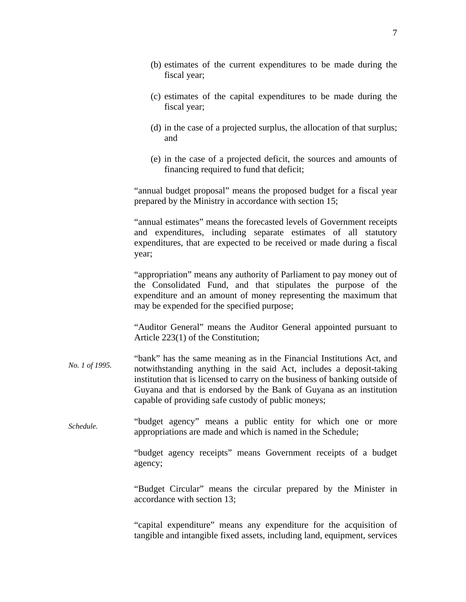(d) in the case of a projected surplus, the allocation of that surplus; and

fiscal year;

fiscal year;

(e) in the case of a projected deficit, the sources and amounts of financing required to fund that deficit;

"annual budget proposal" means the proposed budget for a fiscal year prepared by the Ministry in accordance with section 15;

"annual estimates" means the forecasted levels of Government receipts and expenditures, including separate estimates of all statutory expenditures, that are expected to be received or made during a fiscal year;

"appropriation" means any authority of Parliament to pay money out of the Consolidated Fund, and that stipulates the purpose of the expenditure and an amount of money representing the maximum that may be expended for the specified purpose;

"Auditor General" means the Auditor General appointed pursuant to Article 223(1) of the Constitution;

- *No. 1 of 1995.*  "bank" has the same meaning as in the Financial Institutions Act, and notwithstanding anything in the said Act, includes a deposit-taking institution that is licensed to carry on the business of banking outside of Guyana and that is endorsed by the Bank of Guyana as an institution capable of providing safe custody of public moneys;
- *Schedule.*  "budget agency" means a public entity for which one or more appropriations are made and which is named in the Schedule;

"budget agency receipts" means Government receipts of a budget agency;

"Budget Circular" means the circular prepared by the Minister in accordance with section 13;

"capital expenditure" means any expenditure for the acquisition of tangible and intangible fixed assets, including land, equipment, services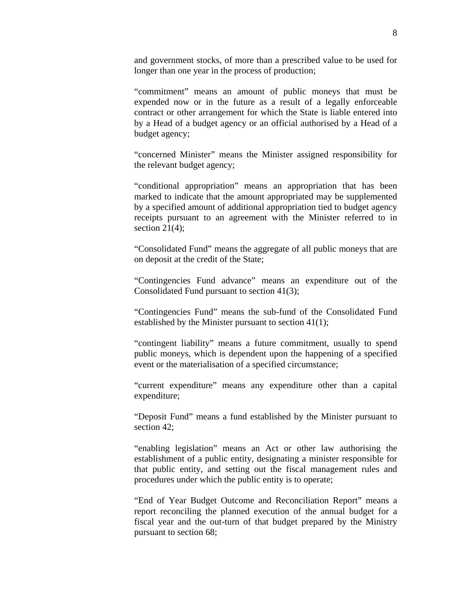and government stocks, of more than a prescribed value to be used for longer than one year in the process of production;

"commitment" means an amount of public moneys that must be expended now or in the future as a result of a legally enforceable contract or other arrangement for which the State is liable entered into by a Head of a budget agency or an official authorised by a Head of a budget agency;

"concerned Minister" means the Minister assigned responsibility for the relevant budget agency;

"conditional appropriation" means an appropriation that has been marked to indicate that the amount appropriated may be supplemented by a specified amount of additional appropriation tied to budget agency receipts pursuant to an agreement with the Minister referred to in section  $21(4)$ ;

"Consolidated Fund" means the aggregate of all public moneys that are on deposit at the credit of the State;

"Contingencies Fund advance" means an expenditure out of the Consolidated Fund pursuant to section 41(3);

"Contingencies Fund" means the sub-fund of the Consolidated Fund established by the Minister pursuant to section 41(1);

"contingent liability" means a future commitment, usually to spend public moneys, which is dependent upon the happening of a specified event or the materialisation of a specified circumstance;

"current expenditure" means any expenditure other than a capital expenditure;

"Deposit Fund" means a fund established by the Minister pursuant to section 42;

"enabling legislation" means an Act or other law authorising the establishment of a public entity, designating a minister responsible for that public entity, and setting out the fiscal management rules and procedures under which the public entity is to operate;

"End of Year Budget Outcome and Reconciliation Report" means a report reconciling the planned execution of the annual budget for a fiscal year and the out-turn of that budget prepared by the Ministry pursuant to section 68;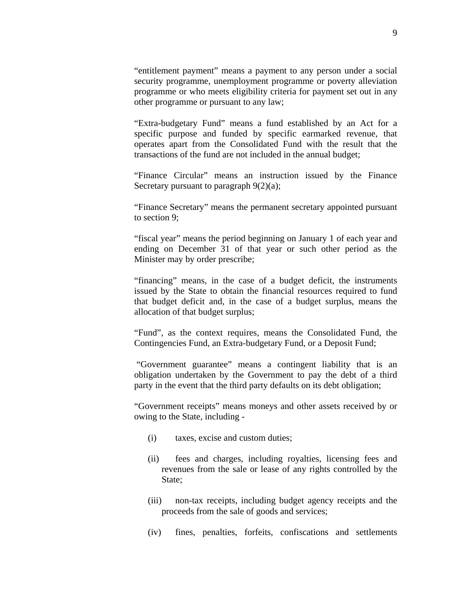"entitlement payment" means a payment to any person under a social security programme, unemployment programme or poverty alleviation programme or who meets eligibility criteria for payment set out in any other programme or pursuant to any law;

"Extra-budgetary Fund" means a fund established by an Act for a specific purpose and funded by specific earmarked revenue, that operates apart from the Consolidated Fund with the result that the transactions of the fund are not included in the annual budget;

"Finance Circular" means an instruction issued by the Finance Secretary pursuant to paragraph  $9(2)(a)$ ;

"Finance Secretary" means the permanent secretary appointed pursuant to section 9;

"fiscal year" means the period beginning on January 1 of each year and ending on December 31 of that year or such other period as the Minister may by order prescribe;

"financing" means, in the case of a budget deficit, the instruments issued by the State to obtain the financial resources required to fund that budget deficit and, in the case of a budget surplus, means the allocation of that budget surplus;

"Fund", as the context requires, means the Consolidated Fund, the Contingencies Fund, an Extra-budgetary Fund, or a Deposit Fund;

 "Government guarantee" means a contingent liability that is an obligation undertaken by the Government to pay the debt of a third party in the event that the third party defaults on its debt obligation;

"Government receipts" means moneys and other assets received by or owing to the State, including -

- (i) taxes, excise and custom duties;
- (ii) fees and charges, including royalties, licensing fees and revenues from the sale or lease of any rights controlled by the State;
- (iii) non-tax receipts, including budget agency receipts and the proceeds from the sale of goods and services;
- (iv) fines, penalties, forfeits, confiscations and settlements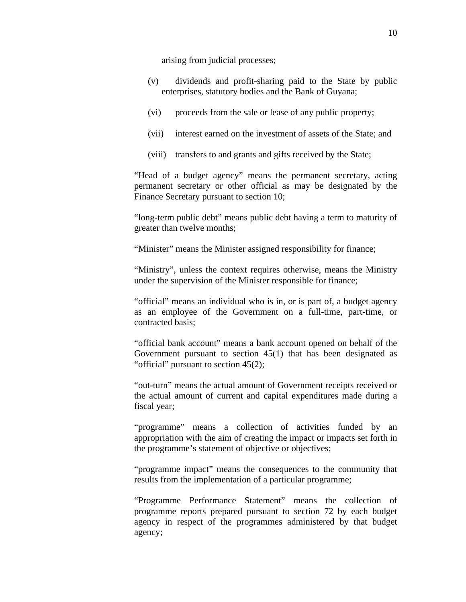arising from judicial processes;

- (v) dividends and profit-sharing paid to the State by public enterprises, statutory bodies and the Bank of Guyana;
- (vi) proceeds from the sale or lease of any public property;
- (vii) interest earned on the investment of assets of the State; and
- (viii) transfers to and grants and gifts received by the State;

"Head of a budget agency" means the permanent secretary, acting permanent secretary or other official as may be designated by the Finance Secretary pursuant to section 10;

"long-term public debt" means public debt having a term to maturity of greater than twelve months;

"Minister" means the Minister assigned responsibility for finance;

"Ministry", unless the context requires otherwise, means the Ministry under the supervision of the Minister responsible for finance;

"official" means an individual who is in, or is part of, a budget agency as an employee of the Government on a full-time, part-time, or contracted basis;

"official bank account" means a bank account opened on behalf of the Government pursuant to section 45(1) that has been designated as "official" pursuant to section 45(2);

"out-turn" means the actual amount of Government receipts received or the actual amount of current and capital expenditures made during a fiscal year;

"programme" means a collection of activities funded by an appropriation with the aim of creating the impact or impacts set forth in the programme's statement of objective or objectives;

"programme impact" means the consequences to the community that results from the implementation of a particular programme;

"Programme Performance Statement" means the collection of programme reports prepared pursuant to section 72 by each budget agency in respect of the programmes administered by that budget agency;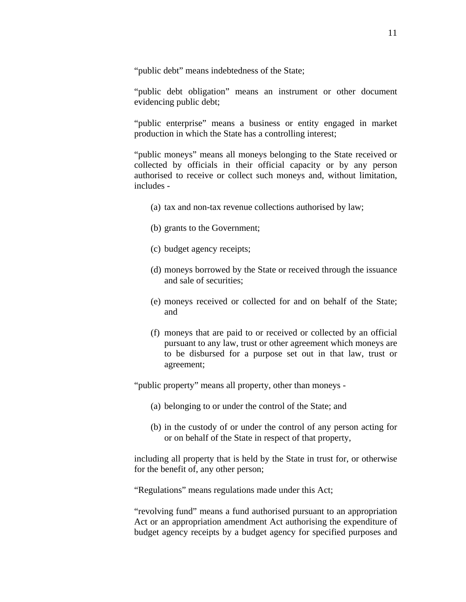"public debt" means indebtedness of the State;

"public debt obligation" means an instrument or other document evidencing public debt;

"public enterprise" means a business or entity engaged in market production in which the State has a controlling interest;

"public moneys" means all moneys belonging to the State received or collected by officials in their official capacity or by any person authorised to receive or collect such moneys and, without limitation, includes -

- (a) tax and non-tax revenue collections authorised by law;
- (b) grants to the Government;
- (c) budget agency receipts;
- (d) moneys borrowed by the State or received through the issuance and sale of securities;
- (e) moneys received or collected for and on behalf of the State; and
- (f) moneys that are paid to or received or collected by an official pursuant to any law, trust or other agreement which moneys are to be disbursed for a purpose set out in that law, trust or agreement;

"public property" means all property, other than moneys -

- (a) belonging to or under the control of the State; and
- (b) in the custody of or under the control of any person acting for or on behalf of the State in respect of that property,

including all property that is held by the State in trust for, or otherwise for the benefit of, any other person;

"Regulations" means regulations made under this Act;

"revolving fund" means a fund authorised pursuant to an appropriation Act or an appropriation amendment Act authorising the expenditure of budget agency receipts by a budget agency for specified purposes and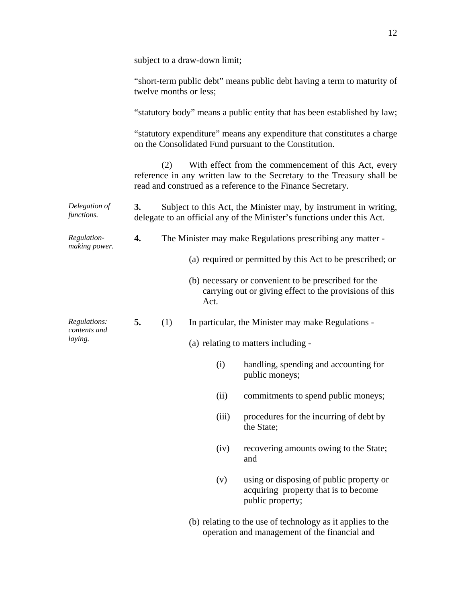|                              |                                                                                                   | subject to a draw-down limit; |      |                                     |                                                                                                                                                                                               |  |  |
|------------------------------|---------------------------------------------------------------------------------------------------|-------------------------------|------|-------------------------------------|-----------------------------------------------------------------------------------------------------------------------------------------------------------------------------------------------|--|--|
|                              | "short-term public debt" means public debt having a term to maturity of<br>twelve months or less; |                               |      |                                     |                                                                                                                                                                                               |  |  |
|                              | "statutory body" means a public entity that has been established by law;                          |                               |      |                                     |                                                                                                                                                                                               |  |  |
|                              |                                                                                                   |                               |      |                                     | "statutory expenditure" means any expenditure that constitutes a charge<br>on the Consolidated Fund pursuant to the Constitution.                                                             |  |  |
|                              |                                                                                                   | (2)                           |      |                                     | With effect from the commencement of this Act, every<br>reference in any written law to the Secretary to the Treasury shall be<br>read and construed as a reference to the Finance Secretary. |  |  |
| Delegation of<br>functions.  | 3.                                                                                                |                               |      |                                     | Subject to this Act, the Minister may, by instrument in writing,<br>delegate to an official any of the Minister's functions under this Act.                                                   |  |  |
| Regulation-<br>making power. | 4.                                                                                                |                               |      |                                     | The Minister may make Regulations prescribing any matter -                                                                                                                                    |  |  |
|                              |                                                                                                   |                               |      |                                     | (a) required or permitted by this Act to be prescribed; or                                                                                                                                    |  |  |
|                              |                                                                                                   |                               | Act. |                                     | (b) necessary or convenient to be prescribed for the<br>carrying out or giving effect to the provisions of this                                                                               |  |  |
| Regulations:<br>contents and | 5.                                                                                                | (1)                           |      |                                     | In particular, the Minister may make Regulations -                                                                                                                                            |  |  |
| laying.                      |                                                                                                   |                               |      | (a) relating to matters including - |                                                                                                                                                                                               |  |  |
|                              |                                                                                                   |                               |      | (i)                                 | handling, spending and accounting for<br>public moneys;                                                                                                                                       |  |  |
|                              |                                                                                                   |                               |      |                                     | (ii) commitments to spend public moneys;                                                                                                                                                      |  |  |
|                              |                                                                                                   |                               |      | (iii)                               | procedures for the incurring of debt by<br>the State;                                                                                                                                         |  |  |
|                              |                                                                                                   |                               |      | (iv)                                | recovering amounts owing to the State;<br>and                                                                                                                                                 |  |  |
|                              |                                                                                                   |                               |      | (v)                                 | using or disposing of public property or<br>acquiring property that is to become<br>public property;                                                                                          |  |  |
|                              |                                                                                                   |                               |      |                                     | (b) relating to the use of technology as it applies to the<br>operation and management of the financial and                                                                                   |  |  |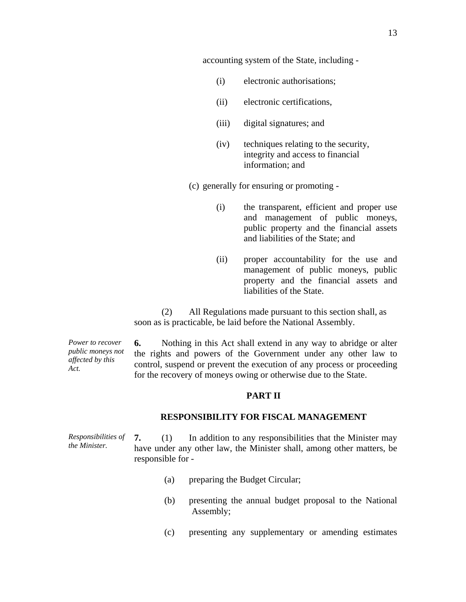accounting system of the State, including -

- (i) electronic authorisations;
- (ii) electronic certifications,
- (iii) digital signatures; and
- (iv) techniques relating to the security, integrity and access to financial information; and
- (c) generally for ensuring or promoting
	- (i) the transparent, efficient and proper use and management of public moneys, public property and the financial assets and liabilities of the State; and
	- (ii) proper accountability for the use and management of public moneys, public property and the financial assets and liabilities of the State.

 (2) All Regulations made pursuant to this section shall, as soon as is practicable, be laid before the National Assembly.

*Power to recover public moneys not affected by this Act.* 

**6.** Nothing in this Act shall extend in any way to abridge or alter the rights and powers of the Government under any other law to control, suspend or prevent the execution of any process or proceeding for the recovery of moneys owing or otherwise due to the State.

## **PART II**

## **RESPONSIBILITY FOR FISCAL MANAGEMENT**

*Responsibilities of the Minister.*  **7.** (1) In addition to any responsibilities that the Minister may have under any other law, the Minister shall, among other matters, be responsible for -

- (a) preparing the Budget Circular;
- (b) presenting the annual budget proposal to the National Assembly;
- (c) presenting any supplementary or amending estimates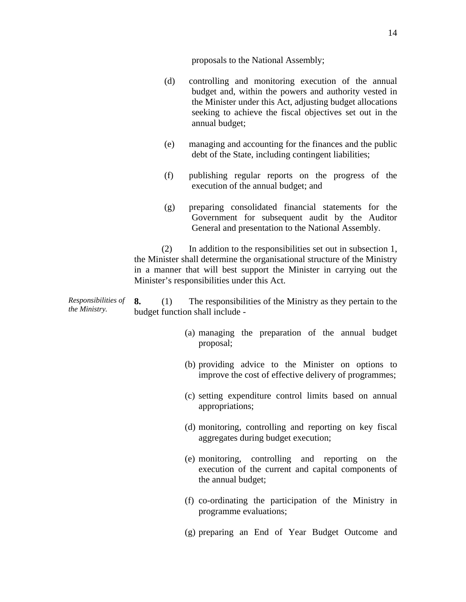proposals to the National Assembly;

- (d) controlling and monitoring execution of the annual budget and, within the powers and authority vested in the Minister under this Act, adjusting budget allocations seeking to achieve the fiscal objectives set out in the annual budget;
- (e) managing and accounting for the finances and the public debt of the State, including contingent liabilities;
- (f) publishing regular reports on the progress of the execution of the annual budget; and
- (g) preparing consolidated financial statements for the Government for subsequent audit by the Auditor General and presentation to the National Assembly.

 (2) In addition to the responsibilities set out in subsection 1, the Minister shall determine the organisational structure of the Ministry in a manner that will best support the Minister in carrying out the Minister's responsibilities under this Act.

*Responsibilities of the Ministry.*  **8.** (1) The responsibilities of the Ministry as they pertain to the budget function shall include -

- (a) managing the preparation of the annual budget proposal;
- (b) providing advice to the Minister on options to improve the cost of effective delivery of programmes;
- (c) setting expenditure control limits based on annual appropriations;
- (d) monitoring, controlling and reporting on key fiscal aggregates during budget execution;
- (e) monitoring, controlling and reporting on the execution of the current and capital components of the annual budget;
- (f) co-ordinating the participation of the Ministry in programme evaluations;
- (g) preparing an End of Year Budget Outcome and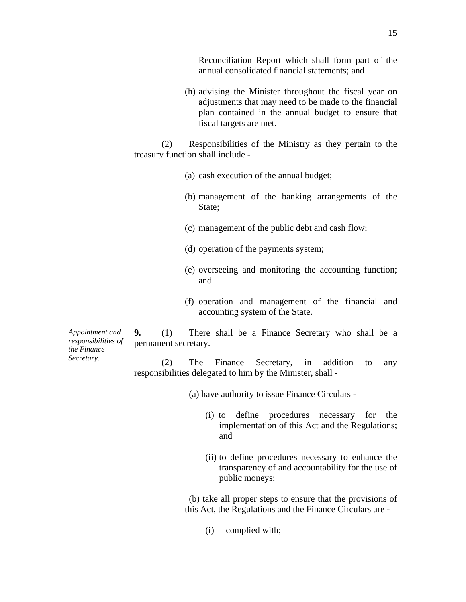Reconciliation Report which shall form part of the annual consolidated financial statements; and

(h) advising the Minister throughout the fiscal year on adjustments that may need to be made to the financial plan contained in the annual budget to ensure that fiscal targets are met.

 (2) Responsibilities of the Ministry as they pertain to the treasury function shall include -

- (a) cash execution of the annual budget;
- (b) management of the banking arrangements of the State;
- (c) management of the public debt and cash flow;
- (d) operation of the payments system;
- (e) overseeing and monitoring the accounting function; and
- (f) operation and management of the financial and accounting system of the State.

*Appointment and responsibilities of the Finance Secretary.* 

**9.** (1) There shall be a Finance Secretary who shall be a permanent secretary.

 (2) The Finance Secretary, in addition to any responsibilities delegated to him by the Minister, shall -

(a) have authority to issue Finance Circulars -

- (i) to define procedures necessary for the implementation of this Act and the Regulations; and
- (ii) to define procedures necessary to enhance the transparency of and accountability for the use of public moneys;

 (b) take all proper steps to ensure that the provisions of this Act, the Regulations and the Finance Circulars are -

(i) complied with;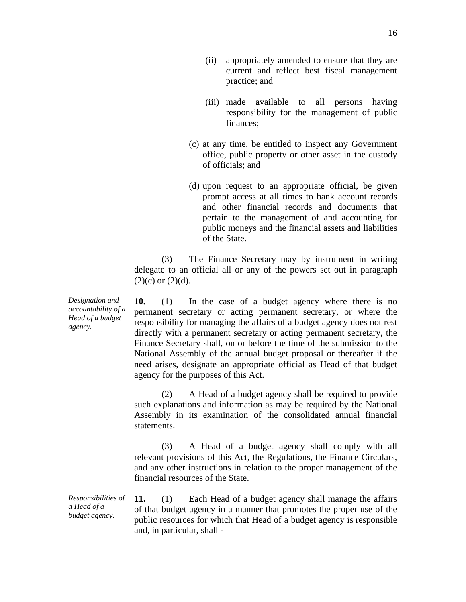- (iii) made available to all persons having responsibility for the management of public finances;
- (c) at any time, be entitled to inspect any Government office, public property or other asset in the custody of officials; and
- (d) upon request to an appropriate official, be given prompt access at all times to bank account records and other financial records and documents that pertain to the management of and accounting for public moneys and the financial assets and liabilities of the State.

 (3) The Finance Secretary may by instrument in writing delegate to an official all or any of the powers set out in paragraph  $(2)(c)$  or  $(2)(d)$ .

**10.** (1) In the case of a budget agency where there is no permanent secretary or acting permanent secretary, or where the responsibility for managing the affairs of a budget agency does not rest directly with a permanent secretary or acting permanent secretary, the Finance Secretary shall, on or before the time of the submission to the National Assembly of the annual budget proposal or thereafter if the need arises, designate an appropriate official as Head of that budget agency for the purposes of this Act.

 (2) A Head of a budget agency shall be required to provide such explanations and information as may be required by the National Assembly in its examination of the consolidated annual financial statements.

 (3) A Head of a budget agency shall comply with all relevant provisions of this Act, the Regulations, the Finance Circulars, and any other instructions in relation to the proper management of the financial resources of the State.

*Responsibilities of a Head of a budget agency.*  **11.** (1) Each Head of a budget agency shall manage the affairs of that budget agency in a manner that promotes the proper use of the public resources for which that Head of a budget agency is responsible and, in particular, shall -

*Designation and accountability of a Head of a budget agency.*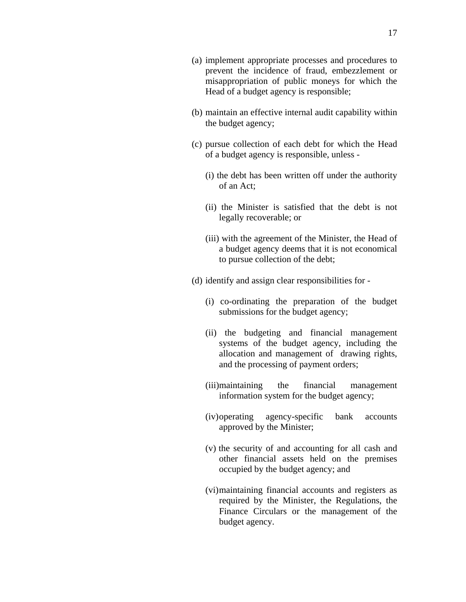- (b) maintain an effective internal audit capability within the budget agency;
- (c) pursue collection of each debt for which the Head of a budget agency is responsible, unless -
	- (i) the debt has been written off under the authority of an Act;
	- (ii) the Minister is satisfied that the debt is not legally recoverable; or
	- (iii) with the agreement of the Minister, the Head of a budget agency deems that it is not economical to pursue collection of the debt;
- (d) identify and assign clear responsibilities for
	- (i) co-ordinating the preparation of the budget submissions for the budget agency;
	- (ii) the budgeting and financial management systems of the budget agency, including the allocation and management of drawing rights, and the processing of payment orders;
	- (iii)maintaining the financial management information system for the budget agency;
	- (iv)operating agency-specific bank accounts approved by the Minister;
	- (v) the security of and accounting for all cash and other financial assets held on the premises occupied by the budget agency; and
	- (vi)maintaining financial accounts and registers as required by the Minister, the Regulations, the Finance Circulars or the management of the budget agency.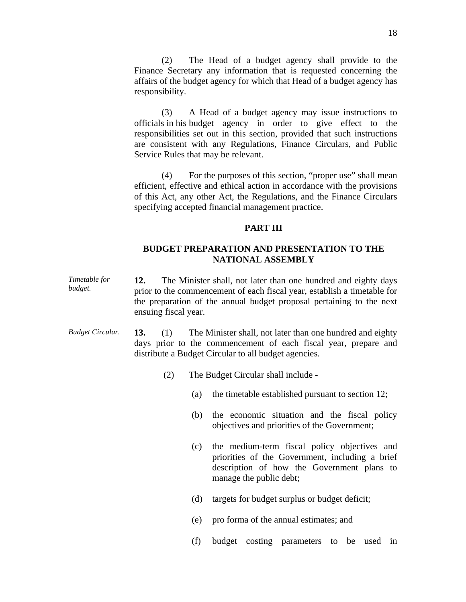(2) The Head of a budget agency shall provide to the Finance Secretary any information that is requested concerning the affairs of the budget agency for which that Head of a budget agency has responsibility.

 (3) A Head of a budget agency may issue instructions to officials in his budget agency in order to give effect to the responsibilities set out in this section, provided that such instructions are consistent with any Regulations, Finance Circulars, and Public Service Rules that may be relevant.

 (4) For the purposes of this section, "proper use" shall mean efficient, effective and ethical action in accordance with the provisions of this Act, any other Act, the Regulations, and the Finance Circulars specifying accepted financial management practice.

## **PART III**

# **BUDGET PREPARATION AND PRESENTATION TO THE NATIONAL ASSEMBLY**

- *Timetable for budget.*  **12.** The Minister shall, not later than one hundred and eighty days prior to the commencement of each fiscal year, establish a timetable for the preparation of the annual budget proposal pertaining to the next ensuing fiscal year.
- *Budget Circular.* **13.** (1) The Minister shall, not later than one hundred and eighty days prior to the commencement of each fiscal year, prepare and distribute a Budget Circular to all budget agencies.
	- (2) The Budget Circular shall include
		- (a) the timetable established pursuant to section 12;
		- (b) the economic situation and the fiscal policy objectives and priorities of the Government;
		- (c) the medium-term fiscal policy objectives and priorities of the Government, including a brief description of how the Government plans to manage the public debt;
		- (d) targets for budget surplus or budget deficit;
		- (e) pro forma of the annual estimates; and
		- (f) budget costing parameters to be used in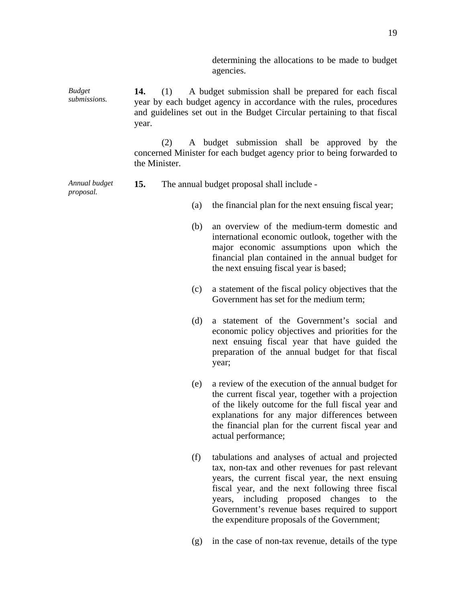determining the allocations to be made to budget agencies.

*Budget submissions.*  **14.** (1) A budget submission shall be prepared for each fiscal year by each budget agency in accordance with the rules, procedures and guidelines set out in the Budget Circular pertaining to that fiscal year.

> (2) A budget submission shall be approved by the concerned Minister for each budget agency prior to being forwarded to the Minister.

#### *Annual budget*  **15.** The annual budget proposal shall include -

*proposal.* 

- (a) the financial plan for the next ensuing fiscal year;
- (b) an overview of the medium-term domestic and international economic outlook, together with the major economic assumptions upon which the financial plan contained in the annual budget for the next ensuing fiscal year is based;
- (c) a statement of the fiscal policy objectives that the Government has set for the medium term;
- (d) a statement of the Government's social and economic policy objectives and priorities for the next ensuing fiscal year that have guided the preparation of the annual budget for that fiscal year;
- (e) a review of the execution of the annual budget for the current fiscal year, together with a projection of the likely outcome for the full fiscal year and explanations for any major differences between the financial plan for the current fiscal year and actual performance;
- (f) tabulations and analyses of actual and projected tax, non-tax and other revenues for past relevant years, the current fiscal year, the next ensuing fiscal year, and the next following three fiscal years, including proposed changes to the Government's revenue bases required to support the expenditure proposals of the Government;
- (g) in the case of non-tax revenue, details of the type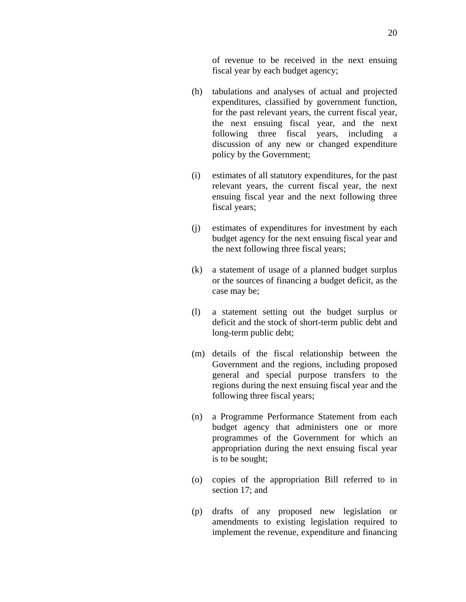of revenue to be received in the next ensuing fiscal year by each budget agency;

- (h) tabulations and analyses of actual and projected expenditures, classified by government function, for the past relevant years, the current fiscal year, the next ensuing fiscal year, and the next following three fiscal years, including a discussion of any new or changed expenditure policy by the Government;
- (i) estimates of all statutory expenditures, for the past relevant years, the current fiscal year, the next ensuing fiscal year and the next following three fiscal years;
- (j) estimates of expenditures for investment by each budget agency for the next ensuing fiscal year and the next following three fiscal years;
- (k) a statement of usage of a planned budget surplus or the sources of financing a budget deficit, as the case may be;
- (l) a statement setting out the budget surplus or deficit and the stock of short-term public debt and long-term public debt;
- (m) details of the fiscal relationship between the Government and the regions, including proposed general and special purpose transfers to the regions during the next ensuing fiscal year and the following three fiscal years;
- (n) a Programme Performance Statement from each budget agency that administers one or more programmes of the Government for which an appropriation during the next ensuing fiscal year is to be sought;
- (o) copies of the appropriation Bill referred to in section 17; and
- (p) drafts of any proposed new legislation or amendments to existing legislation required to implement the revenue, expenditure and financing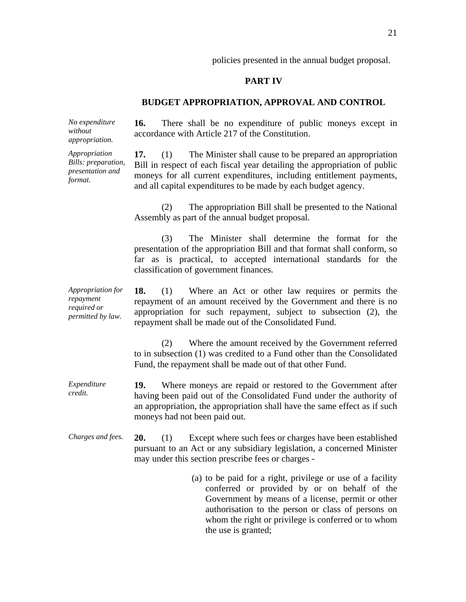policies presented in the annual budget proposal.

## **PART IV**

## **BUDGET APPROPRIATION, APPROVAL AND CONTROL**

**16.** There shall be no expenditure of public moneys except in

accordance with Article 217 of the Constitution.

*No expenditure without appropriation.* 

*Appropriation Bills: preparation, presentation and format.* 

**17.** (1) The Minister shall cause to be prepared an appropriation Bill in respect of each fiscal year detailing the appropriation of public moneys for all current expenditures, including entitlement payments,

 (2) The appropriation Bill shall be presented to the National Assembly as part of the annual budget proposal.

and all capital expenditures to be made by each budget agency.

 (3) The Minister shall determine the format for the presentation of the appropriation Bill and that format shall conform, so far as is practical, to accepted international standards for the classification of government finances.

*Appropriation for repayment required or permitted by law.* 

**18.** (1) Where an Act or other law requires or permits the repayment of an amount received by the Government and there is no appropriation for such repayment, subject to subsection (2), the repayment shall be made out of the Consolidated Fund.

(2) Where the amount received by the Government referred to in subsection (1) was credited to a Fund other than the Consolidated Fund, the repayment shall be made out of that other Fund.

*Expenditure credit.*  **19.** Where moneys are repaid or restored to the Government after having been paid out of the Consolidated Fund under the authority of an appropriation, the appropriation shall have the same effect as if such moneys had not been paid out.

- *Charges and fees.* **20.** (1) Except where such fees or charges have been established pursuant to an Act or any subsidiary legislation, a concerned Minister may under this section prescribe fees or charges -
	- (a) to be paid for a right, privilege or use of a facility conferred or provided by or on behalf of the Government by means of a license, permit or other authorisation to the person or class of persons on whom the right or privilege is conferred or to whom the use is granted;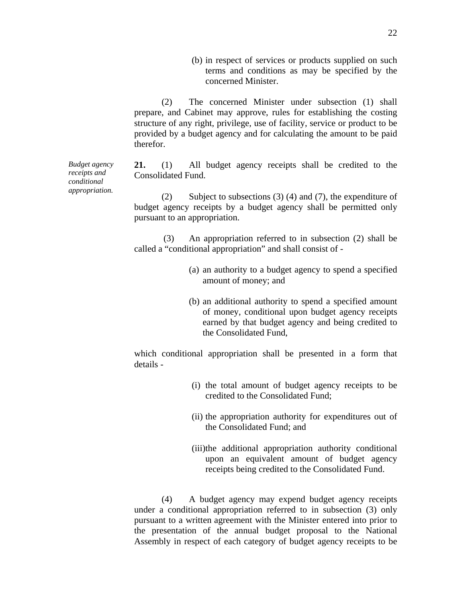(b) in respect of services or products supplied on such terms and conditions as may be specified by the concerned Minister.

(2) The concerned Minister under subsection (1) shall prepare, and Cabinet may approve, rules for establishing the costing structure of any right, privilege, use of facility, service or product to be provided by a budget agency and for calculating the amount to be paid therefor.

**21.** (1) All budget agency receipts shall be credited to the Consolidated Fund.

 (2) Subject to subsections (3) (4) and (7), the expenditure of budget agency receipts by a budget agency shall be permitted only pursuant to an appropriation.

(3) An appropriation referred to in subsection (2) shall be called a "conditional appropriation" and shall consist of -

- (a) an authority to a budget agency to spend a specified amount of money; and
- (b) an additional authority to spend a specified amount of money, conditional upon budget agency receipts earned by that budget agency and being credited to the Consolidated Fund,

which conditional appropriation shall be presented in a form that details -

- (i) the total amount of budget agency receipts to be credited to the Consolidated Fund;
- (ii) the appropriation authority for expenditures out of the Consolidated Fund; and
- (iii)the additional appropriation authority conditional upon an equivalent amount of budget agency receipts being credited to the Consolidated Fund.

(4) A budget agency may expend budget agency receipts under a conditional appropriation referred to in subsection (3) only pursuant to a written agreement with the Minister entered into prior to the presentation of the annual budget proposal to the National Assembly in respect of each category of budget agency receipts to be

*Budget agency receipts and conditional appropriation.*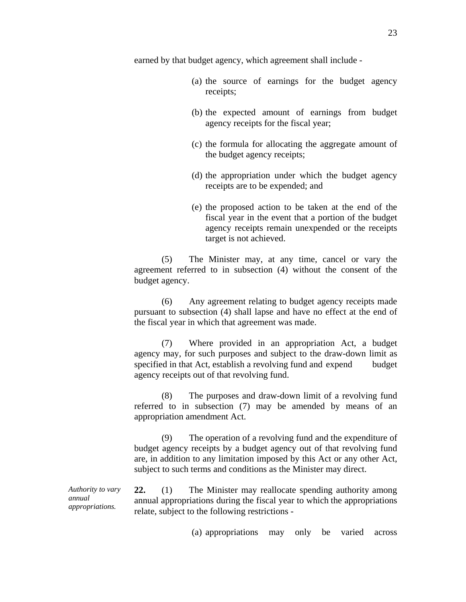earned by that budget agency, which agreement shall include -

- (a) the source of earnings for the budget agency receipts;
- (b) the expected amount of earnings from budget agency receipts for the fiscal year;
- (c) the formula for allocating the aggregate amount of the budget agency receipts;
- (d) the appropriation under which the budget agency receipts are to be expended; and
- (e) the proposed action to be taken at the end of the fiscal year in the event that a portion of the budget agency receipts remain unexpended or the receipts target is not achieved.

 (5) The Minister may, at any time, cancel or vary the agreement referred to in subsection (4) without the consent of the budget agency.

 (6) Any agreement relating to budget agency receipts made pursuant to subsection (4) shall lapse and have no effect at the end of the fiscal year in which that agreement was made.

 (7) Where provided in an appropriation Act, a budget agency may, for such purposes and subject to the draw-down limit as specified in that Act, establish a revolving fund and expend budget agency receipts out of that revolving fund.

 (8) The purposes and draw-down limit of a revolving fund referred to in subsection (7) may be amended by means of an appropriation amendment Act.

 (9) The operation of a revolving fund and the expenditure of budget agency receipts by a budget agency out of that revolving fund are, in addition to any limitation imposed by this Act or any other Act, subject to such terms and conditions as the Minister may direct.

*appropriations.*  **22.** (1) The Minister may reallocate spending authority among annual appropriations during the fiscal year to which the appropriations relate, subject to the following restrictions -

(a) appropriations may only be varied across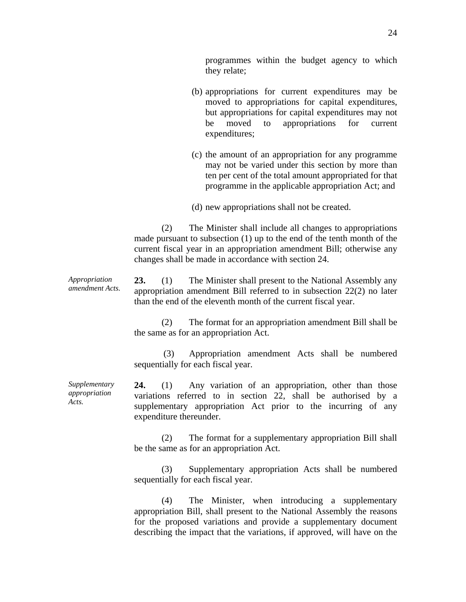programmes within the budget agency to which

- (b) appropriations for current expenditures may be moved to appropriations for capital expenditures, but appropriations for capital expenditures may not be moved to appropriations for current expenditures;
	- (c) the amount of an appropriation for any programme may not be varied under this section by more than ten per cent of the total amount appropriated for that programme in the applicable appropriation Act; and
- (d) new appropriations shall not be created.

 (2) The Minister shall include all changes to appropriations made pursuant to subsection (1) up to the end of the tenth month of the current fiscal year in an appropriation amendment Bill; otherwise any changes shall be made in accordance with section 24.

*Appropriation amendment Acts.*  **23.** (1) The Minister shall present to the National Assembly any appropriation amendment Bill referred to in subsection 22(2) no later than the end of the eleventh month of the current fiscal year.

they relate;

 (2) The format for an appropriation amendment Bill shall be the same as for an appropriation Act.

(3) Appropriation amendment Acts shall be numbered sequentially for each fiscal year.

**24.** (1) Any variation of an appropriation, other than those variations referred to in section 22, shall be authorised by a supplementary appropriation Act prior to the incurring of any expenditure thereunder.

 (2) The format for a supplementary appropriation Bill shall be the same as for an appropriation Act.

(3) Supplementary appropriation Acts shall be numbered sequentially for each fiscal year.

 (4) The Minister, when introducing a supplementary appropriation Bill, shall present to the National Assembly the reasons for the proposed variations and provide a supplementary document describing the impact that the variations, if approved, will have on the

*Supplementary appropriation Acts.*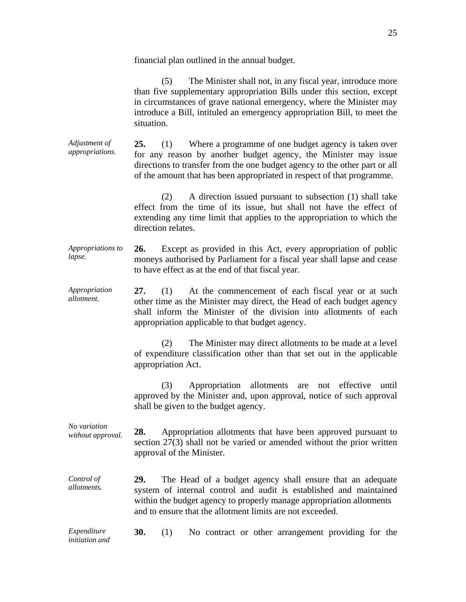financial plan outlined in the annual budget.

 (5) The Minister shall not, in any fiscal year, introduce more than five supplementary appropriation Bills under this section, except in circumstances of grave national emergency, where the Minister may introduce a Bill, intituled an emergency appropriation Bill, to meet the situation.

*Adjustment of appropriations.*  **25.** (1) Where a programme of one budget agency is taken over for any reason by another budget agency, the Minister may issue directions to transfer from the one budget agency to the other part or all of the amount that has been appropriated in respect of that programme.

> (2) A direction issued pursuant to subsection (1) shall take effect from the time of its issue, but shall not have the effect of extending any time limit that applies to the appropriation to which the direction relates.

*Appropriations to lapse.*  **26.** Except as provided in this Act, every appropriation of public moneys authorised by Parliament for a fiscal year shall lapse and cease to have effect as at the end of that fiscal year.

*Appropriation allotment.*  **27.** (1) At the commencement of each fiscal year or at such other time as the Minister may direct, the Head of each budget agency shall inform the Minister of the division into allotments of each appropriation applicable to that budget agency.

> (2) The Minister may direct allotments to be made at a level of expenditure classification other than that set out in the applicable appropriation Act.

> (3) Appropriation allotments are not effective until approved by the Minister and, upon approval, notice of such approval shall be given to the budget agency.

*No variation without approval.* **28.** Appropriation allotments that have been approved pursuant to section 27(3) shall not be varied or amended without the prior written approval of the Minister.

*Control of allotments.*  **29.** The Head of a budget agency shall ensure that an adequate system of internal control and audit is established and maintained within the budget agency to properly manage appropriation allotments and to ensure that the allotment limits are not exceeded.

*Expenditure initiation and*  **30.** (1) No contract or other arrangement providing for the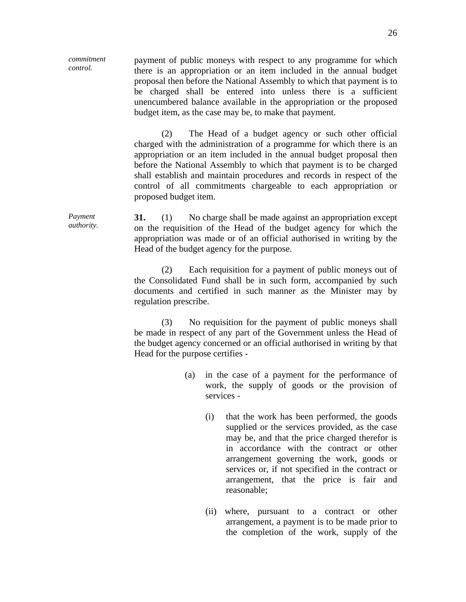*commitment control.*  payment of public moneys with respect to any programme for which there is an appropriation or an item included in the annual budget proposal then before the National Assembly to which that payment is to be charged shall be entered into unless there is a sufficient unencumbered balance available in the appropriation or the proposed budget item, as the case may be, to make that payment.

> (2) The Head of a budget agency or such other official charged with the administration of a programme for which there is an appropriation or an item included in the annual budget proposal then before the National Assembly to which that payment is to be charged shall establish and maintain procedures and records in respect of the control of all commitments chargeable to each appropriation or proposed budget item.

*Payment authority.*  **31.** (1) No charge shall be made against an appropriation except on the requisition of the Head of the budget agency for which the appropriation was made or of an official authorised in writing by the Head of the budget agency for the purpose.

> (2) Each requisition for a payment of public moneys out of the Consolidated Fund shall be in such form, accompanied by such documents and certified in such manner as the Minister may by regulation prescribe.

> (3) No requisition for the payment of public moneys shall be made in respect of any part of the Government unless the Head of the budget agency concerned or an official authorised in writing by that Head for the purpose certifies -

- (a) in the case of a payment for the performance of work, the supply of goods or the provision of services -
	- (i) that the work has been performed, the goods supplied or the services provided, as the case may be, and that the price charged therefor is in accordance with the contract or other arrangement governing the work, goods or services or, if not specified in the contract or arrangement, that the price is fair and reasonable;
	- (ii) where, pursuant to a contract or other arrangement, a payment is to be made prior to the completion of the work, supply of the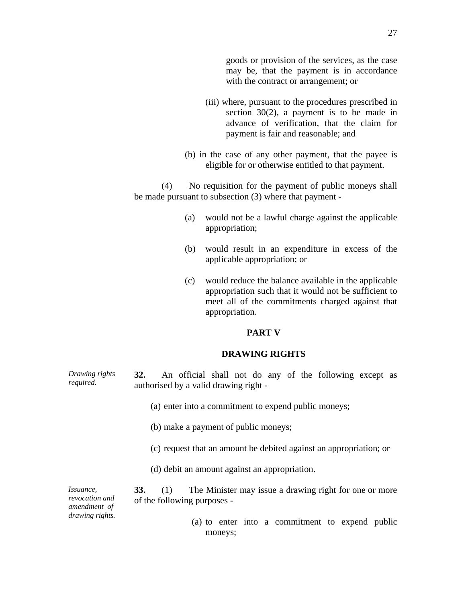- (iii) where, pursuant to the procedures prescribed in section 30(2), a payment is to be made in advance of verification, that the claim for payment is fair and reasonable; and
- (b) in the case of any other payment, that the payee is eligible for or otherwise entitled to that payment.

 (4) No requisition for the payment of public moneys shall be made pursuant to subsection (3) where that payment -

- (a) would not be a lawful charge against the applicable appropriation;
- (b) would result in an expenditure in excess of the applicable appropriation; or
- (c) would reduce the balance available in the applicable appropriation such that it would not be sufficient to meet all of the commitments charged against that appropriation.

## **PART V**

#### **DRAWING RIGHTS**

- *Drawing rights required.*  **32.** An official shall not do any of the following except as authorised by a valid drawing right -
	- (a) enter into a commitment to expend public moneys;
	- (b) make a payment of public moneys;
	- (c) request that an amount be debited against an appropriation; or
	- (d) debit an amount against an appropriation.

*Issuance, revocation and amendment of drawing rights.* 

- **33.** (1) The Minister may issue a drawing right for one or more of the following purposes -
	- (a) to enter into a commitment to expend public moneys;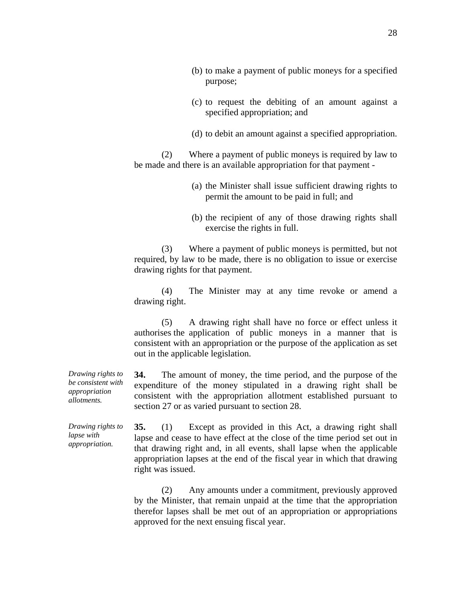- (b) to make a payment of public moneys for a specified purpose;
- (c) to request the debiting of an amount against a specified appropriation; and
- (d) to debit an amount against a specified appropriation.

 (2) Where a payment of public moneys is required by law to be made and there is an available appropriation for that payment -

- (a) the Minister shall issue sufficient drawing rights to permit the amount to be paid in full; and
- (b) the recipient of any of those drawing rights shall exercise the rights in full.

 (3) Where a payment of public moneys is permitted, but not required, by law to be made, there is no obligation to issue or exercise drawing rights for that payment.

 (4) The Minister may at any time revoke or amend a drawing right.

 (5) A drawing right shall have no force or effect unless it authorises the application of public moneys in a manner that is consistent with an appropriation or the purpose of the application as set out in the applicable legislation.

**34.** The amount of money, the time period, and the purpose of the expenditure of the money stipulated in a drawing right shall be consistent with the appropriation allotment established pursuant to section 27 or as varied pursuant to section 28.

**35.** (1) Except as provided in this Act, a drawing right shall lapse and cease to have effect at the close of the time period set out in that drawing right and, in all events, shall lapse when the applicable appropriation lapses at the end of the fiscal year in which that drawing right was issued.

 (2) Any amounts under a commitment, previously approved by the Minister, that remain unpaid at the time that the appropriation therefor lapses shall be met out of an appropriation or appropriations approved for the next ensuing fiscal year.

*Drawing rights to be consistent with appropriation allotments.* 

*Drawing rights to lapse with appropriation.*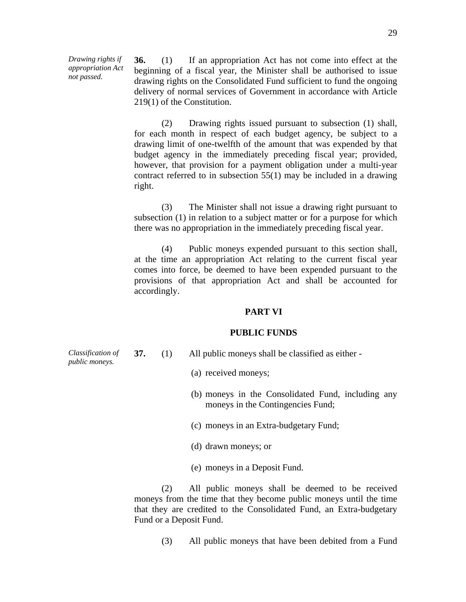*Drawing rights if appropriation Act not passed.* 

**36.** (1) If an appropriation Act has not come into effect at the beginning of a fiscal year, the Minister shall be authorised to issue drawing rights on the Consolidated Fund sufficient to fund the ongoing delivery of normal services of Government in accordance with Article 219(1) of the Constitution.

 (2) Drawing rights issued pursuant to subsection (1) shall, for each month in respect of each budget agency, be subject to a drawing limit of one-twelfth of the amount that was expended by that budget agency in the immediately preceding fiscal year; provided, however, that provision for a payment obligation under a multi-year contract referred to in subsection 55(1) may be included in a drawing right.

 (3) The Minister shall not issue a drawing right pursuant to subsection (1) in relation to a subject matter or for a purpose for which there was no appropriation in the immediately preceding fiscal year.

 (4) Public moneys expended pursuant to this section shall, at the time an appropriation Act relating to the current fiscal year comes into force, be deemed to have been expended pursuant to the provisions of that appropriation Act and shall be accounted for accordingly.

#### **PART VI**

#### **PUBLIC FUNDS**

*Classification of public moneys.* 

- **37.** (1) All public moneys shall be classified as either
	- (a) received moneys;
	- (b) moneys in the Consolidated Fund, including any moneys in the Contingencies Fund;
	- (c) moneys in an Extra-budgetary Fund;
	- (d) drawn moneys; or
	- (e) moneys in a Deposit Fund.

 (2) All public moneys shall be deemed to be received moneys from the time that they become public moneys until the time that they are credited to the Consolidated Fund, an Extra-budgetary Fund or a Deposit Fund.

(3) All public moneys that have been debited from a Fund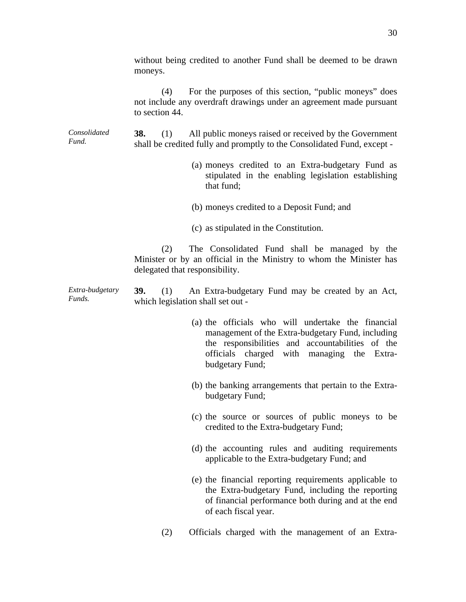|                           | without being credited to another Fund shall be deemed to be drawn<br>moneys.                                                                                                                                                |
|---------------------------|------------------------------------------------------------------------------------------------------------------------------------------------------------------------------------------------------------------------------|
|                           | For the purposes of this section, "public moneys" does<br>(4)<br>not include any overdraft drawings under an agreement made pursuant<br>to section 44.                                                                       |
| Consolidated<br>Fund.     | All public moneys raised or received by the Government<br><b>38.</b><br>(1)<br>shall be credited fully and promptly to the Consolidated Fund, except -                                                                       |
|                           | (a) moneys credited to an Extra-budgetary Fund as<br>stipulated in the enabling legislation establishing<br>that fund;                                                                                                       |
|                           | (b) moneys credited to a Deposit Fund; and                                                                                                                                                                                   |
|                           | (c) as stipulated in the Constitution.                                                                                                                                                                                       |
|                           | The Consolidated Fund shall be managed by the<br>(2)<br>Minister or by an official in the Ministry to whom the Minister has<br>delegated that responsibility.                                                                |
| Extra-budgetary<br>Funds. | <b>39.</b><br>An Extra-budgetary Fund may be created by an Act,<br>(1)<br>which legislation shall set out -                                                                                                                  |
|                           | (a) the officials who will undertake the financial<br>management of the Extra-budgetary Fund, including<br>the responsibilities and accountabilities of the<br>officials charged with managing the Extra-<br>budgetary Fund; |
|                           | (b) the banking arrangements that pertain to the Extra-<br>budgetary Fund;                                                                                                                                                   |
|                           | (c) the source or sources of public moneys to be<br>credited to the Extra-budgetary Fund;                                                                                                                                    |
|                           | (d) the accounting rules and auditing requirements<br>applicable to the Extra-budgetary Fund; and                                                                                                                            |
|                           | (e) the financial reporting requirements applicable to<br>the Extra-budgetary Fund, including the reporting<br>of financial performance both during and at the end<br>of each fiscal year.                                   |
|                           | Officials charged with the management of an Extra-<br>(2)                                                                                                                                                                    |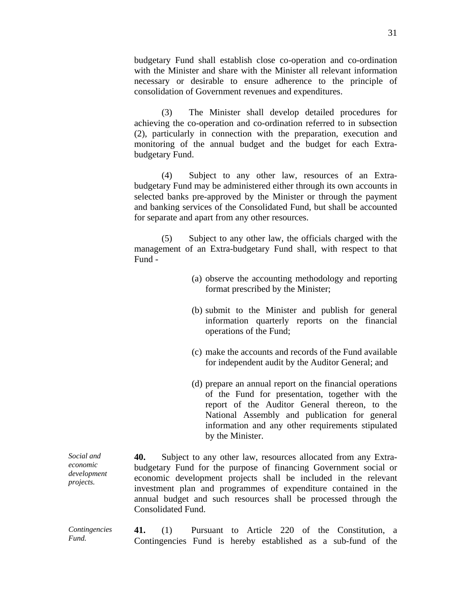budgetary Fund shall establish close co-operation and co-ordination with the Minister and share with the Minister all relevant information necessary or desirable to ensure adherence to the principle of consolidation of Government revenues and expenditures.

(3) The Minister shall develop detailed procedures for achieving the co-operation and co-ordination referred to in subsection (2), particularly in connection with the preparation, execution and monitoring of the annual budget and the budget for each Extrabudgetary Fund.

 (4) Subject to any other law, resources of an Extrabudgetary Fund may be administered either through its own accounts in selected banks pre-approved by the Minister or through the payment and banking services of the Consolidated Fund, but shall be accounted for separate and apart from any other resources.

 (5) Subject to any other law, the officials charged with the management of an Extra-budgetary Fund shall, with respect to that Fund -

- (a) observe the accounting methodology and reporting format prescribed by the Minister;
- (b) submit to the Minister and publish for general information quarterly reports on the financial operations of the Fund;
- (c) make the accounts and records of the Fund available for independent audit by the Auditor General; and
- (d) prepare an annual report on the financial operations of the Fund for presentation, together with the report of the Auditor General thereon, to the National Assembly and publication for general information and any other requirements stipulated by the Minister.

*Social and economic development projects.*  **40.** Subject to any other law, resources allocated from any Extrabudgetary Fund for the purpose of financing Government social or economic development projects shall be included in the relevant investment plan and programmes of expenditure contained in the annual budget and such resources shall be processed through the Consolidated Fund.

*Contingencies Fund.*  **41.** (1) Pursuant to Article 220 of the Constitution, a Contingencies Fund is hereby established as a sub-fund of the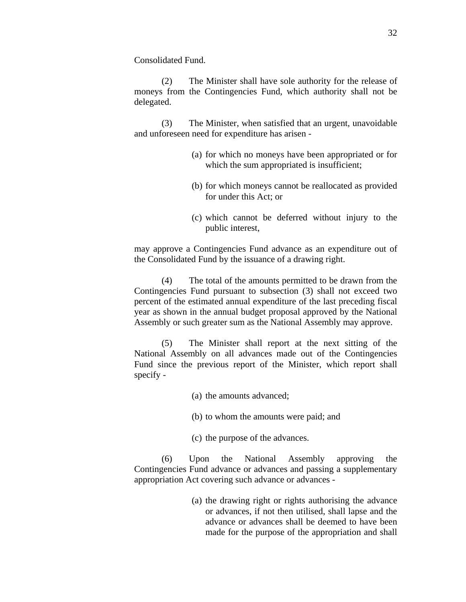Consolidated Fund.

 (2) The Minister shall have sole authority for the release of moneys from the Contingencies Fund, which authority shall not be delegated.

 (3) The Minister, when satisfied that an urgent, unavoidable and unforeseen need for expenditure has arisen -

- (a) for which no moneys have been appropriated or for which the sum appropriated is insufficient;
- (b) for which moneys cannot be reallocated as provided for under this Act; or
- (c) which cannot be deferred without injury to the public interest,

may approve a Contingencies Fund advance as an expenditure out of the Consolidated Fund by the issuance of a drawing right.

 (4) The total of the amounts permitted to be drawn from the Contingencies Fund pursuant to subsection (3) shall not exceed two percent of the estimated annual expenditure of the last preceding fiscal year as shown in the annual budget proposal approved by the National Assembly or such greater sum as the National Assembly may approve.

 (5) The Minister shall report at the next sitting of the National Assembly on all advances made out of the Contingencies Fund since the previous report of the Minister, which report shall specify -

- (a) the amounts advanced;
- (b) to whom the amounts were paid; and
- (c) the purpose of the advances.

 (6) Upon the National Assembly approving the Contingencies Fund advance or advances and passing a supplementary appropriation Act covering such advance or advances -

> (a) the drawing right or rights authorising the advance or advances, if not then utilised, shall lapse and the advance or advances shall be deemed to have been made for the purpose of the appropriation and shall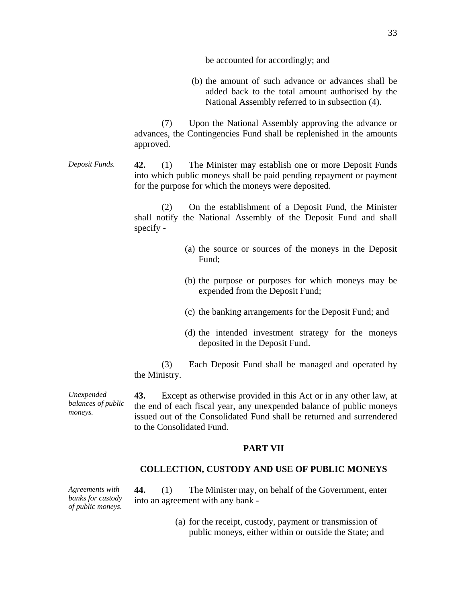be accounted for accordingly; and

(b) the amount of such advance or advances shall be added back to the total amount authorised by the National Assembly referred to in subsection (4).

 (7) Upon the National Assembly approving the advance or advances, the Contingencies Fund shall be replenished in the amounts approved.

# *Deposit Funds.* **42.** (1) The Minister may establish one or more Deposit Funds into which public moneys shall be paid pending repayment or payment for the purpose for which the moneys were deposited.

 (2) On the establishment of a Deposit Fund, the Minister shall notify the National Assembly of the Deposit Fund and shall specify -

- (a) the source or sources of the moneys in the Deposit Fund;
- (b) the purpose or purposes for which moneys may be expended from the Deposit Fund;
- (c) the banking arrangements for the Deposit Fund; and
- (d) the intended investment strategy for the moneys deposited in the Deposit Fund.

 (3) Each Deposit Fund shall be managed and operated by the Ministry.

**43.** Except as otherwise provided in this Act or in any other law, at the end of each fiscal year, any unexpended balance of public moneys issued out of the Consolidated Fund shall be returned and surrendered to the Consolidated Fund.

## **PART VII**

#### **COLLECTION, CUSTODY AND USE OF PUBLIC MONEYS**

*Agreements with banks for custody of public moneys.* 

*Unexpended balances of public* 

*moneys.* 

**44.** (1) The Minister may, on behalf of the Government, enter into an agreement with any bank -

> (a) for the receipt, custody, payment or transmission of public moneys, either within or outside the State; and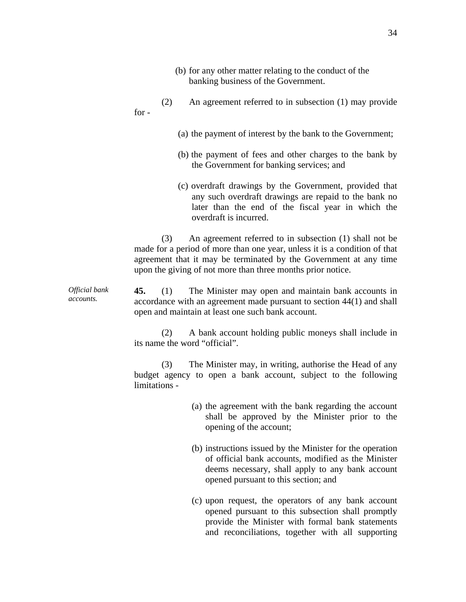- (b) for any other matter relating to the conduct of the banking business of the Government.
- (2) An agreement referred to in subsection (1) may provide for -
	- (a) the payment of interest by the bank to the Government;
	- (b) the payment of fees and other charges to the bank by the Government for banking services; and
	- (c) overdraft drawings by the Government, provided that any such overdraft drawings are repaid to the bank no later than the end of the fiscal year in which the overdraft is incurred.

 (3) An agreement referred to in subsection (1) shall not be made for a period of more than one year, unless it is a condition of that agreement that it may be terminated by the Government at any time upon the giving of not more than three months prior notice.

*Official bank accounts.*  **45.** (1) The Minister may open and maintain bank accounts in accordance with an agreement made pursuant to section 44(1) and shall open and maintain at least one such bank account.

> (2) A bank account holding public moneys shall include in its name the word "official".

> (3) The Minister may, in writing, authorise the Head of any budget agency to open a bank account, subject to the following limitations -

- (a) the agreement with the bank regarding the account shall be approved by the Minister prior to the opening of the account;
- (b) instructions issued by the Minister for the operation of official bank accounts, modified as the Minister deems necessary, shall apply to any bank account opened pursuant to this section; and
- (c) upon request, the operators of any bank account opened pursuant to this subsection shall promptly provide the Minister with formal bank statements and reconciliations, together with all supporting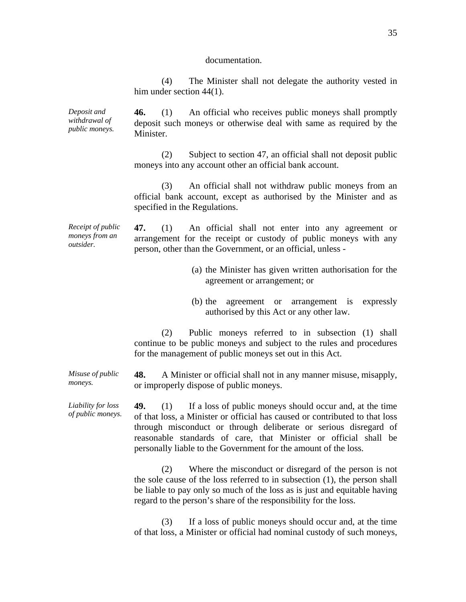#### documentation.

 (4) The Minister shall not delegate the authority vested in him under section 44(1).

*Deposit and withdrawal of public moneys.*  **46.** (1) An official who receives public moneys shall promptly deposit such moneys or otherwise deal with same as required by the Minister.

> (2) Subject to section 47, an official shall not deposit public moneys into any account other an official bank account.

> (3) An official shall not withdraw public moneys from an official bank account, except as authorised by the Minister and as specified in the Regulations.

*Receipt of public moneys from an outsider.* 

*moneys.* 

**47.** (1) An official shall not enter into any agreement or arrangement for the receipt or custody of public moneys with any person, other than the Government, or an official, unless -

- (a) the Minister has given written authorisation for the agreement or arrangement; or
- (b) the agreement or arrangement is expressly authorised by this Act or any other law.

 (2) Public moneys referred to in subsection (1) shall continue to be public moneys and subject to the rules and procedures for the management of public moneys set out in this Act.

*Misuse of public*  **48.** A Minister or official shall not in any manner misuse, misapply, or improperly dispose of public moneys.

*Liability for loss of public moneys.*  **49.** (1) If a loss of public moneys should occur and, at the time of that loss, a Minister or official has caused or contributed to that loss through misconduct or through deliberate or serious disregard of reasonable standards of care, that Minister or official shall be personally liable to the Government for the amount of the loss.

> (2) Where the misconduct or disregard of the person is not the sole cause of the loss referred to in subsection (1), the person shall be liable to pay only so much of the loss as is just and equitable having regard to the person's share of the responsibility for the loss.

> (3) If a loss of public moneys should occur and, at the time of that loss, a Minister or official had nominal custody of such moneys,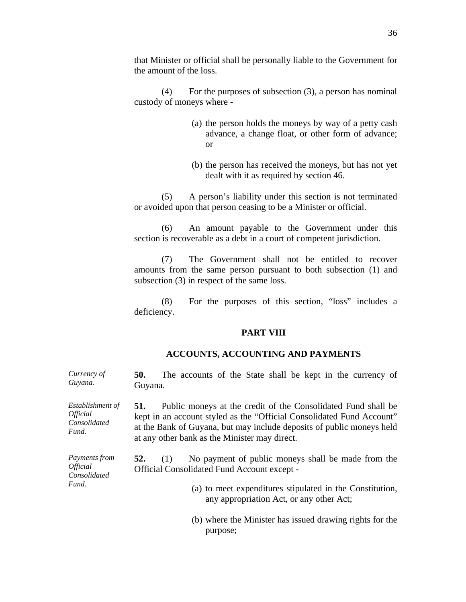that Minister or official shall be personally liable to the Government for the amount of the loss.

 (4) For the purposes of subsection (3), a person has nominal custody of moneys where -

- (a) the person holds the moneys by way of a petty cash advance, a change float, or other form of advance; or
- (b) the person has received the moneys, but has not yet dealt with it as required by section 46.

 (5) A person's liability under this section is not terminated or avoided upon that person ceasing to be a Minister or official.

 (6) An amount payable to the Government under this section is recoverable as a debt in a court of competent jurisdiction.

 (7) The Government shall not be entitled to recover amounts from the same person pursuant to both subsection (1) and subsection (3) in respect of the same loss.

 (8) For the purposes of this section, "loss" includes a deficiency.

## **PART VIII**

## **ACCOUNTS, ACCOUNTING AND PAYMENTS**

**50.** The accounts of the State shall be kept in the currency of

| Guyana.                                                                 | Guyana.                                                                                                                                                                                                                                                                 |  |  |  |  |  |
|-------------------------------------------------------------------------|-------------------------------------------------------------------------------------------------------------------------------------------------------------------------------------------------------------------------------------------------------------------------|--|--|--|--|--|
| Establishment of<br><i><b>Official</b></i><br>Consolidated<br>Fund.     | Public moneys at the credit of the Consolidated Fund shall be<br>51.<br>kept in an account styled as the "Official Consolidated Fund Account"<br>at the Bank of Guyana, but may include deposits of public moneys held<br>at any other bank as the Minister may direct. |  |  |  |  |  |
| <i>Payments from</i><br><i><b>Official</b></i><br>Consolidated<br>Fund. | No payment of public moneys shall be made from the<br>52.<br>(1)<br>Official Consolidated Fund Account except -                                                                                                                                                         |  |  |  |  |  |
|                                                                         | (a) to meet expenditures stipulated in the Constitution,<br>any appropriation Act, or any other Act;                                                                                                                                                                    |  |  |  |  |  |
|                                                                         | (b) where the Minister has issued drawing rights for the<br>purpose;                                                                                                                                                                                                    |  |  |  |  |  |

*Currency of*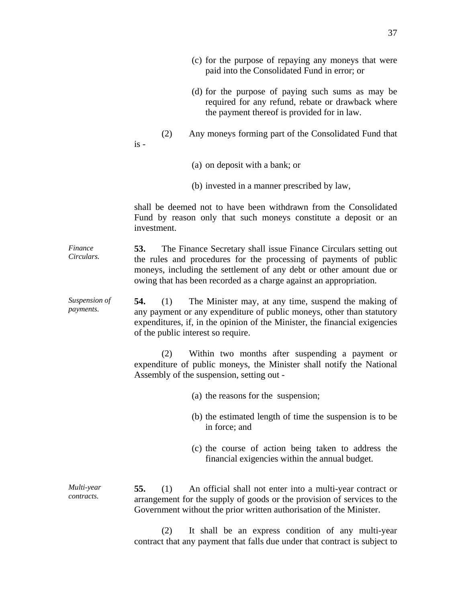|                            | (c) for the purpose of repaying any moneys that were<br>paid into the Consolidated Fund in error; or                                                                                                                                                                                     |
|----------------------------|------------------------------------------------------------------------------------------------------------------------------------------------------------------------------------------------------------------------------------------------------------------------------------------|
|                            | (d) for the purpose of paying such sums as may be<br>required for any refund, rebate or drawback where<br>the payment thereof is provided for in law.                                                                                                                                    |
|                            | (2)<br>Any moneys forming part of the Consolidated Fund that<br>$is -$                                                                                                                                                                                                                   |
|                            | (a) on deposit with a bank; or                                                                                                                                                                                                                                                           |
|                            | (b) invested in a manner prescribed by law,                                                                                                                                                                                                                                              |
|                            | shall be deemed not to have been withdrawn from the Consolidated<br>Fund by reason only that such moneys constitute a deposit or an<br>investment.                                                                                                                                       |
| Finance<br>Circulars.      | The Finance Secretary shall issue Finance Circulars setting out<br>53.<br>the rules and procedures for the processing of payments of public<br>moneys, including the settlement of any debt or other amount due or<br>owing that has been recorded as a charge against an appropriation. |
| Suspension of<br>payments. | 54.<br>(1)<br>The Minister may, at any time, suspend the making of<br>any payment or any expenditure of public moneys, other than statutory<br>expenditures, if, in the opinion of the Minister, the financial exigencies<br>of the public interest so require.                          |
|                            | Within two months after suspending a payment or<br>(2)<br>expenditure of public moneys, the Minister shall notify the National<br>Assembly of the suspension, setting out -                                                                                                              |
|                            | (a) the reasons for the suspension;                                                                                                                                                                                                                                                      |
|                            | (b) the estimated length of time the suspension is to be<br>in force; and                                                                                                                                                                                                                |
|                            | (c) the course of action being taken to address the<br>financial exigencies within the annual budget.                                                                                                                                                                                    |
| Multi-year<br>contracts.   | 55.<br>(1)<br>An official shall not enter into a multi-year contract or<br>arrangement for the supply of goods or the provision of services to the<br>Government without the prior written authorisation of the Minister.                                                                |
|                            | $(2)$ It shall be an express condition of any multi-year                                                                                                                                                                                                                                 |

 (2) It shall be an express condition of any multi-year contract that any payment that falls due under that contract is subject to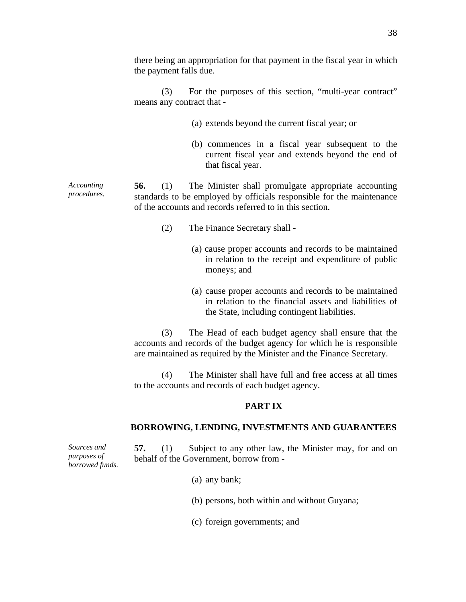there being an appropriation for that payment in the fiscal year in which the payment falls due.

 (3) For the purposes of this section, "multi-year contract" means any contract that -

- (a) extends beyond the current fiscal year; or
- (b) commences in a fiscal year subsequent to the current fiscal year and extends beyond the end of that fiscal year.

*Accounting procedures.*  **56.** (1) The Minister shall promulgate appropriate accounting standards to be employed by officials responsible for the maintenance of the accounts and records referred to in this section.

- (2) The Finance Secretary shall
	- (a) cause proper accounts and records to be maintained in relation to the receipt and expenditure of public moneys; and
	- (a) cause proper accounts and records to be maintained in relation to the financial assets and liabilities of the State, including contingent liabilities.

 (3) The Head of each budget agency shall ensure that the accounts and records of the budget agency for which he is responsible are maintained as required by the Minister and the Finance Secretary.

 (4) The Minister shall have full and free access at all times to the accounts and records of each budget agency.

## **PART IX**

## **BORROWING, LENDING, INVESTMENTS AND GUARANTEES**

**57.** (1) Subject to any other law, the Minister may, for and on behalf of the Government, borrow from -

- (a) any bank;
- (b) persons, both within and without Guyana;
- (c) foreign governments; and

*Sources and purposes of borrowed funds.*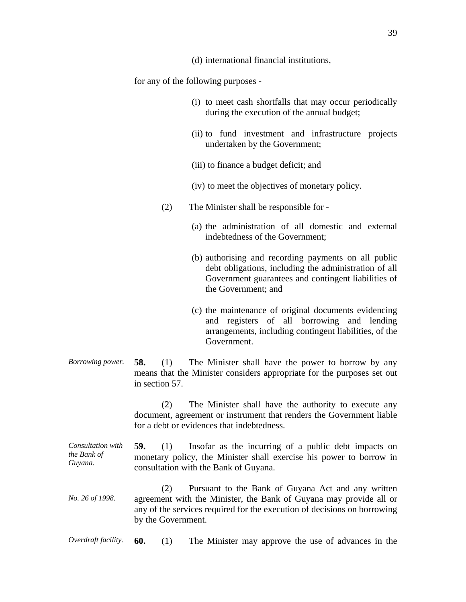(d) international financial institutions,

for any of the following purposes -

- (i) to meet cash shortfalls that may occur periodically during the execution of the annual budget;
- (ii) to fund investment and infrastructure projects undertaken by the Government;
- (iii) to finance a budget deficit; and
- (iv) to meet the objectives of monetary policy.
- (2) The Minister shall be responsible for
	- (a) the administration of all domestic and external indebtedness of the Government;
	- (b) authorising and recording payments on all public debt obligations, including the administration of all Government guarantees and contingent liabilities of the Government; and
	- (c) the maintenance of original documents evidencing and registers of all borrowing and lending arrangements, including contingent liabilities, of the Government.
- *Borrowing power.* **58.** (1) The Minister shall have the power to borrow by any means that the Minister considers appropriate for the purposes set out in section 57.

 (2) The Minister shall have the authority to execute any document, agreement or instrument that renders the Government liable for a debt or evidences that indebtedness.

*Consultation with the Bank of Guyana.*  **59.** (1) Insofar as the incurring of a public debt impacts on monetary policy, the Minister shall exercise his power to borrow in consultation with the Bank of Guyana.

*No. 26 of 1998.*  (2) Pursuant to the Bank of Guyana Act and any written agreement with the Minister, the Bank of Guyana may provide all or any of the services required for the execution of decisions on borrowing by the Government.

*Overdraft facility.* **60.** (1) The Minister may approve the use of advances in the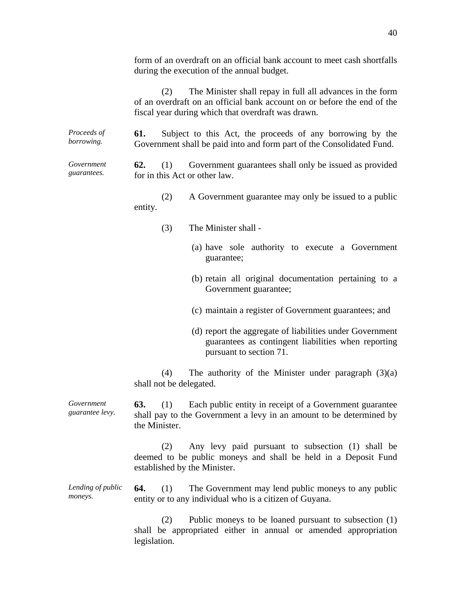form of an overdraft on an official bank account to meet cash shortfalls during the execution of the annual budget.

 (2) The Minister shall repay in full all advances in the form of an overdraft on an official bank account on or before the end of the fiscal year during which that overdraft was drawn.

*Proceeds of borrowing.*  **61.** Subject to this Act, the proceeds of any borrowing by the Government shall be paid into and form part of the Consolidated Fund.

*Government guarantees.*  **62.** (1) Government guarantees shall only be issued as provided for in this Act or other law.

> (2) A Government guarantee may only be issued to a public entity.

- (3) The Minister shall
	- (a) have sole authority to execute a Government guarantee;
	- (b) retain all original documentation pertaining to a Government guarantee;
	- (c) maintain a register of Government guarantees; and
	- (d) report the aggregate of liabilities under Government guarantees as contingent liabilities when reporting pursuant to section 71.

(4) The authority of the Minister under paragraph  $(3)(a)$ shall not be delegated.

*Government guarantee levy.*  **63.** (1) Each public entity in receipt of a Government guarantee shall pay to the Government a levy in an amount to be determined by the Minister.

> (2) Any levy paid pursuant to subsection (1) shall be deemed to be public moneys and shall be held in a Deposit Fund established by the Minister.

*Lending of public moneys.*  **64.** (1) The Government may lend public moneys to any public entity or to any individual who is a citizen of Guyana.

> (2) Public moneys to be loaned pursuant to subsection (1) shall be appropriated either in annual or amended appropriation legislation.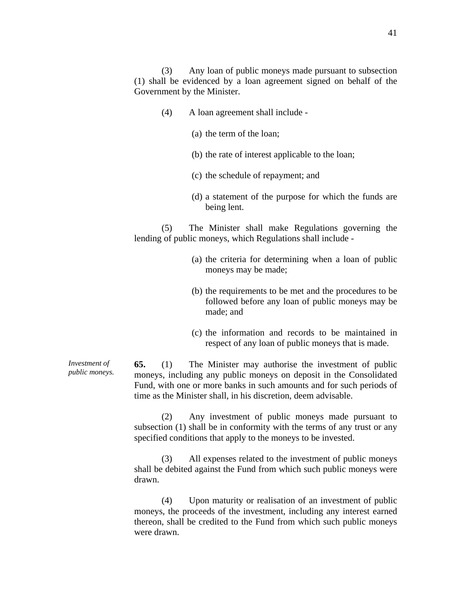(3) Any loan of public moneys made pursuant to subsection (1) shall be evidenced by a loan agreement signed on behalf of the Government by the Minister.

- (4) A loan agreement shall include
	- (a) the term of the loan;
	- (b) the rate of interest applicable to the loan;
	- (c) the schedule of repayment; and
	- (d) a statement of the purpose for which the funds are being lent.

 (5) The Minister shall make Regulations governing the lending of public moneys, which Regulations shall include -

- (a) the criteria for determining when a loan of public moneys may be made;
- (b) the requirements to be met and the procedures to be followed before any loan of public moneys may be made; and
- (c) the information and records to be maintained in respect of any loan of public moneys that is made.

*Investment of public moneys.*  **65.** (1) The Minister may authorise the investment of public moneys, including any public moneys on deposit in the Consolidated Fund, with one or more banks in such amounts and for such periods of time as the Minister shall, in his discretion, deem advisable.

> (2) Any investment of public moneys made pursuant to subsection (1) shall be in conformity with the terms of any trust or any specified conditions that apply to the moneys to be invested.

> (3) All expenses related to the investment of public moneys shall be debited against the Fund from which such public moneys were drawn.

> (4) Upon maturity or realisation of an investment of public moneys, the proceeds of the investment, including any interest earned thereon, shall be credited to the Fund from which such public moneys were drawn.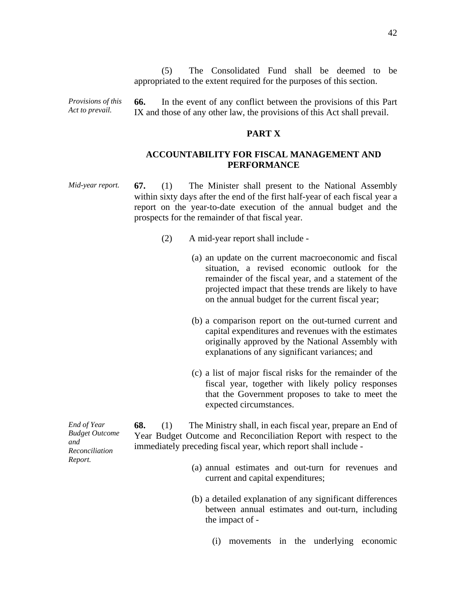(5) The Consolidated Fund shall be deemed to be appropriated to the extent required for the purposes of this section.

*Provisions of this Act to prevail.* 

**66.** In the event of any conflict between the provisions of this Part IX and those of any other law, the provisions of this Act shall prevail.

## **PART X**

# **ACCOUNTABILITY FOR FISCAL MANAGEMENT AND PERFORMANCE**

*Mid-year report.* **67.** (1) The Minister shall present to the National Assembly within sixty days after the end of the first half-year of each fiscal year a report on the year-to-date execution of the annual budget and the prospects for the remainder of that fiscal year.

- (2) A mid-year report shall include
	- (a) an update on the current macroeconomic and fiscal situation, a revised economic outlook for the remainder of the fiscal year, and a statement of the projected impact that these trends are likely to have on the annual budget for the current fiscal year;
	- (b) a comparison report on the out-turned current and capital expenditures and revenues with the estimates originally approved by the National Assembly with explanations of any significant variances; and
	- (c) a list of major fiscal risks for the remainder of the fiscal year, together with likely policy responses that the Government proposes to take to meet the expected circumstances.

*End of Year Budget Outcome and Reconciliation Report.* 

**68.** (1) The Ministry shall, in each fiscal year, prepare an End of Year Budget Outcome and Reconciliation Report with respect to the immediately preceding fiscal year, which report shall include -

- (a) annual estimates and out-turn for revenues and current and capital expenditures;
- (b) a detailed explanation of any significant differences between annual estimates and out-turn, including the impact of -
	- (i) movements in the underlying economic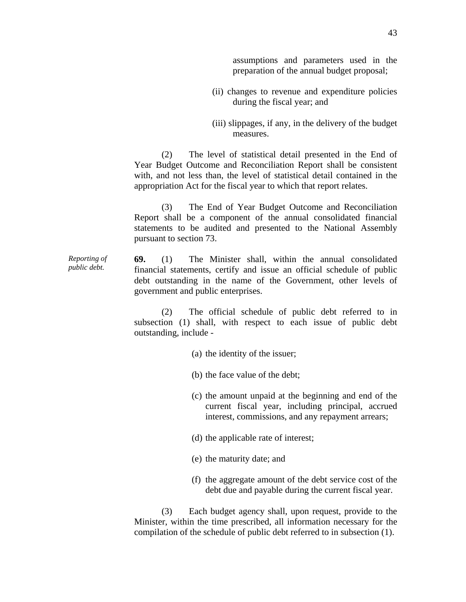assumptions and parameters used in the preparation of the annual budget proposal;

- (ii) changes to revenue and expenditure policies during the fiscal year; and
- (iii) slippages, if any, in the delivery of the budget measures.

 (2) The level of statistical detail presented in the End of Year Budget Outcome and Reconciliation Report shall be consistent with, and not less than, the level of statistical detail contained in the appropriation Act for the fiscal year to which that report relates.

 (3) The End of Year Budget Outcome and Reconciliation Report shall be a component of the annual consolidated financial statements to be audited and presented to the National Assembly pursuant to section 73.

*Reporting of public debt.*  **69.** (1) The Minister shall, within the annual consolidated financial statements, certify and issue an official schedule of public debt outstanding in the name of the Government, other levels of government and public enterprises.

> (2) The official schedule of public debt referred to in subsection (1) shall, with respect to each issue of public debt outstanding, include -

- (a) the identity of the issuer;
- (b) the face value of the debt;
- (c) the amount unpaid at the beginning and end of the current fiscal year, including principal, accrued interest, commissions, and any repayment arrears;
- (d) the applicable rate of interest;
- (e) the maturity date; and
- (f) the aggregate amount of the debt service cost of the debt due and payable during the current fiscal year.

 (3) Each budget agency shall, upon request, provide to the Minister, within the time prescribed, all information necessary for the compilation of the schedule of public debt referred to in subsection (1).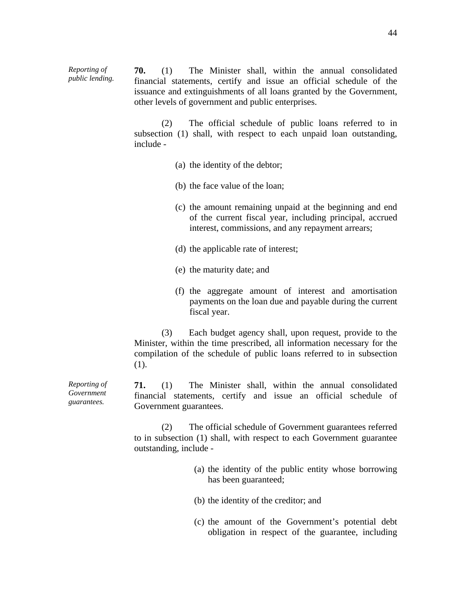**70.** (1) The Minister shall, within the annual consolidated financial statements, certify and issue an official schedule of the issuance and extinguishments of all loans granted by the Government, other levels of government and public enterprises.

 (2) The official schedule of public loans referred to in subsection (1) shall, with respect to each unpaid loan outstanding, include -

- (a) the identity of the debtor;
- (b) the face value of the loan;
- (c) the amount remaining unpaid at the beginning and end of the current fiscal year, including principal, accrued interest, commissions, and any repayment arrears;
- (d) the applicable rate of interest;
- (e) the maturity date; and
- (f) the aggregate amount of interest and amortisation payments on the loan due and payable during the current fiscal year.

 (3) Each budget agency shall, upon request, provide to the Minister, within the time prescribed, all information necessary for the compilation of the schedule of public loans referred to in subsection (1).

**71.** (1) The Minister shall, within the annual consolidated financial statements, certify and issue an official schedule of Government guarantees.

 (2) The official schedule of Government guarantees referred to in subsection (1) shall, with respect to each Government guarantee outstanding, include -

- (a) the identity of the public entity whose borrowing has been guaranteed;
- (b) the identity of the creditor; and
- (c) the amount of the Government's potential debt obligation in respect of the guarantee, including

*Reporting of Government guarantees.* 

*Reporting of public lending.*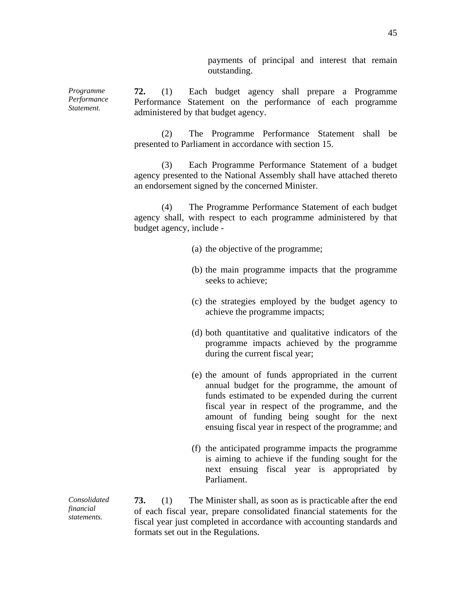payments of principal and interest that remain outstanding.

*Programme Performance Statement.* 

*Consolidated financial statements.* 

**72.** (1) Each budget agency shall prepare a Programme Performance Statement on the performance of each programme administered by that budget agency.

 (2) The Programme Performance Statement shall be presented to Parliament in accordance with section 15.

 (3) Each Programme Performance Statement of a budget agency presented to the National Assembly shall have attached thereto an endorsement signed by the concerned Minister.

 (4) The Programme Performance Statement of each budget agency shall, with respect to each programme administered by that budget agency, include -

- (a) the objective of the programme;
- (b) the main programme impacts that the programme seeks to achieve;
- (c) the strategies employed by the budget agency to achieve the programme impacts;
- (d) both quantitative and qualitative indicators of the programme impacts achieved by the programme during the current fiscal year;
- (e) the amount of funds appropriated in the current annual budget for the programme, the amount of funds estimated to be expended during the current fiscal year in respect of the programme, and the amount of funding being sought for the next ensuing fiscal year in respect of the programme; and
- (f) the anticipated programme impacts the programme is aiming to achieve if the funding sought for the next ensuing fiscal year is appropriated by Parliament.

**73.** (1) The Minister shall, as soon as is practicable after the end of each fiscal year, prepare consolidated financial statements for the fiscal year just completed in accordance with accounting standards and formats set out in the Regulations.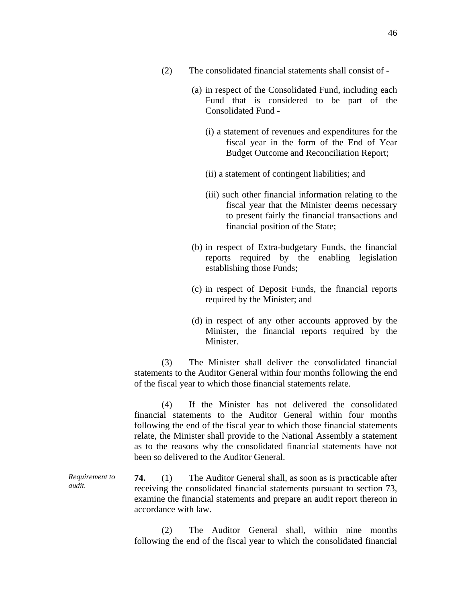- (2) The consolidated financial statements shall consist of
	- (a) in respect of the Consolidated Fund, including each Fund that is considered to be part of the Consolidated Fund -
		- (i) a statement of revenues and expenditures for the fiscal year in the form of the End of Year Budget Outcome and Reconciliation Report;
		- (ii) a statement of contingent liabilities; and
		- (iii) such other financial information relating to the fiscal year that the Minister deems necessary to present fairly the financial transactions and financial position of the State;
	- (b) in respect of Extra-budgetary Funds, the financial reports required by the enabling legislation establishing those Funds;
	- (c) in respect of Deposit Funds, the financial reports required by the Minister; and
	- (d) in respect of any other accounts approved by the Minister, the financial reports required by the Minister.

 (3) The Minister shall deliver the consolidated financial statements to the Auditor General within four months following the end of the fiscal year to which those financial statements relate.

 (4) If the Minister has not delivered the consolidated financial statements to the Auditor General within four months following the end of the fiscal year to which those financial statements relate, the Minister shall provide to the National Assembly a statement as to the reasons why the consolidated financial statements have not been so delivered to the Auditor General.

*Requirement to audit.*  **74.** (1) The Auditor General shall, as soon as is practicable after receiving the consolidated financial statements pursuant to section 73, examine the financial statements and prepare an audit report thereon in accordance with law.

> (2) The Auditor General shall, within nine months following the end of the fiscal year to which the consolidated financial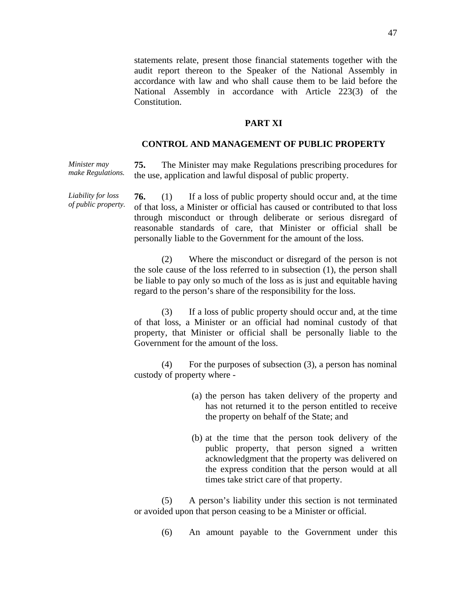statements relate, present those financial statements together with the audit report thereon to the Speaker of the National Assembly in accordance with law and who shall cause them to be laid before the National Assembly in accordance with Article 223(3) of the Constitution.

## **PART XI**

# **CONTROL AND MANAGEMENT OF PUBLIC PROPERTY**

*Minister may make Regulations.*  **75.** The Minister may make Regulations prescribing procedures for the use, application and lawful disposal of public property.

*Liability for loss of public property.*  **76.** (1) If a loss of public property should occur and, at the time of that loss, a Minister or official has caused or contributed to that loss through misconduct or through deliberate or serious disregard of reasonable standards of care, that Minister or official shall be personally liable to the Government for the amount of the loss.

> (2) Where the misconduct or disregard of the person is not the sole cause of the loss referred to in subsection (1), the person shall be liable to pay only so much of the loss as is just and equitable having regard to the person's share of the responsibility for the loss.

> (3) If a loss of public property should occur and, at the time of that loss, a Minister or an official had nominal custody of that property, that Minister or official shall be personally liable to the Government for the amount of the loss.

> (4) For the purposes of subsection (3), a person has nominal custody of property where -

- (a) the person has taken delivery of the property and has not returned it to the person entitled to receive the property on behalf of the State; and
- (b) at the time that the person took delivery of the public property, that person signed a written acknowledgment that the property was delivered on the express condition that the person would at all times take strict care of that property.

 (5) A person's liability under this section is not terminated or avoided upon that person ceasing to be a Minister or official.

(6) An amount payable to the Government under this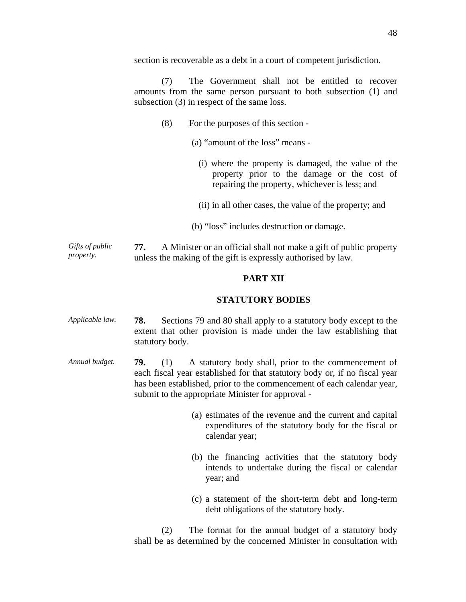section is recoverable as a debt in a court of competent jurisdiction.

 (7) The Government shall not be entitled to recover amounts from the same person pursuant to both subsection (1) and subsection (3) in respect of the same loss.

- (8) For the purposes of this section
	- (a) "amount of the loss" means
		- (i) where the property is damaged, the value of the property prior to the damage or the cost of repairing the property, whichever is less; and
		- (ii) in all other cases, the value of the property; and
	- (b) "loss" includes destruction or damage.

*Gifts of public property.*  **77.** A Minister or an official shall not make a gift of public property unless the making of the gift is expressly authorised by law.

## **PART XII**

#### **STATUTORY BODIES**

- *Applicable law.* **78.** Sections 79 and 80 shall apply to a statutory body except to the extent that other provision is made under the law establishing that statutory body.
- *Annual budget.* **79.** (1) A statutory body shall, prior to the commencement of each fiscal year established for that statutory body or, if no fiscal year has been established, prior to the commencement of each calendar year, submit to the appropriate Minister for approval -
	- (a) estimates of the revenue and the current and capital expenditures of the statutory body for the fiscal or calendar year;
	- (b) the financing activities that the statutory body intends to undertake during the fiscal or calendar year; and
	- (c) a statement of the short-term debt and long-term debt obligations of the statutory body.

 (2) The format for the annual budget of a statutory body shall be as determined by the concerned Minister in consultation with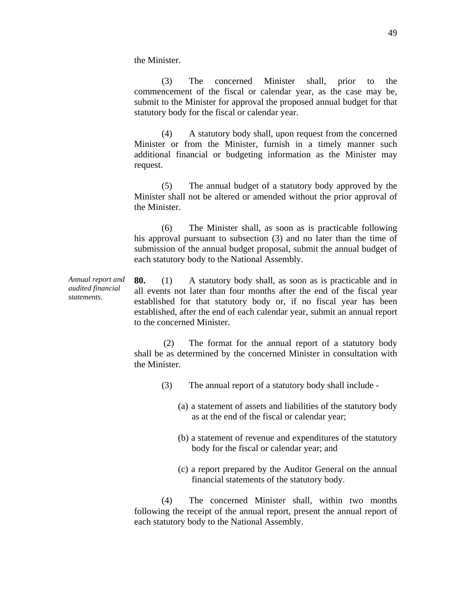the Minister.

 (3) The concerned Minister shall, prior to the commencement of the fiscal or calendar year, as the case may be, submit to the Minister for approval the proposed annual budget for that statutory body for the fiscal or calendar year.

 (4) A statutory body shall, upon request from the concerned Minister or from the Minister, furnish in a timely manner such additional financial or budgeting information as the Minister may request.

 (5) The annual budget of a statutory body approved by the Minister shall not be altered or amended without the prior approval of the Minister.

 (6) The Minister shall, as soon as is practicable following his approval pursuant to subsection (3) and no later than the time of submission of the annual budget proposal, submit the annual budget of each statutory body to the National Assembly.

*Annual report and audited financial statements.*  **80.** (1) A statutory body shall, as soon as is practicable and in all events not later than four months after the end of the fiscal year established for that statutory body or, if no fiscal year has been established, after the end of each calendar year, submit an annual report to the concerned Minister.

> (2) The format for the annual report of a statutory body shall be as determined by the concerned Minister in consultation with the Minister.

- (3) The annual report of a statutory body shall include
	- (a) a statement of assets and liabilities of the statutory body as at the end of the fiscal or calendar year;
	- (b) a statement of revenue and expenditures of the statutory body for the fiscal or calendar year; and
	- (c) a report prepared by the Auditor General on the annual financial statements of the statutory body.

 (4) The concerned Minister shall, within two months following the receipt of the annual report, present the annual report of each statutory body to the National Assembly.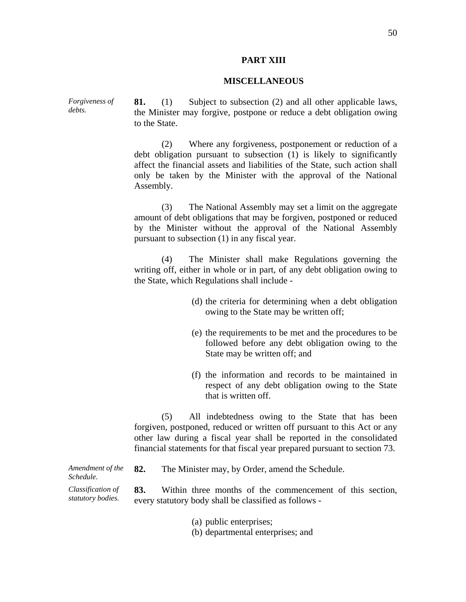#### **PART XIII**

#### **MISCELLANEOUS**

**81.** (1) Subject to subsection (2) and all other applicable laws, the Minister may forgive, postpone or reduce a debt obligation owing to the State.

> (2) Where any forgiveness, postponement or reduction of a debt obligation pursuant to subsection (1) is likely to significantly affect the financial assets and liabilities of the State, such action shall only be taken by the Minister with the approval of the National Assembly.

> (3) The National Assembly may set a limit on the aggregate amount of debt obligations that may be forgiven, postponed or reduced by the Minister without the approval of the National Assembly pursuant to subsection (1) in any fiscal year.

> (4) The Minister shall make Regulations governing the writing off, either in whole or in part, of any debt obligation owing to the State, which Regulations shall include -

- (d) the criteria for determining when a debt obligation owing to the State may be written off;
- (e) the requirements to be met and the procedures to be followed before any debt obligation owing to the State may be written off; and
- (f) the information and records to be maintained in respect of any debt obligation owing to the State that is written off.

 (5) All indebtedness owing to the State that has been forgiven, postponed, reduced or written off pursuant to this Act or any other law during a fiscal year shall be reported in the consolidated financial statements for that fiscal year prepared pursuant to section 73.

*Amendment of the Schedule.*  **82.** The Minister may, by Order, amend the Schedule. *Classification of statutory bodies.*  **83.** Within three months of the commencement of this section, every statutory body shall be classified as follows -

- (a) public enterprises;
- (b) departmental enterprises; and

*Forgiveness of debts.*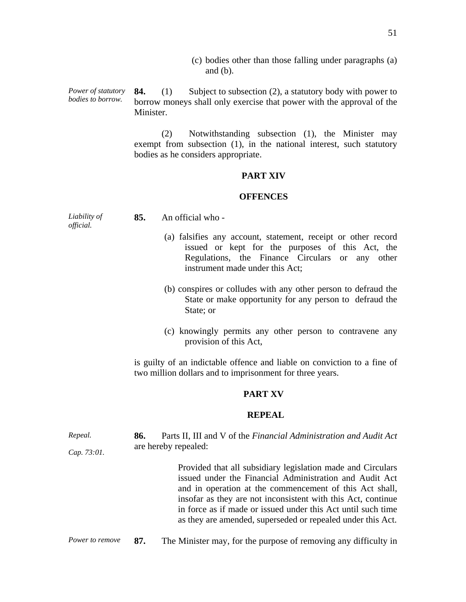(c) bodies other than those falling under paragraphs (a) and (b).

*Power of statutory bodies to borrow.*  **84.** (1) Subject to subsection (2), a statutory body with power to borrow moneys shall only exercise that power with the approval of the Minister.

> (2) Notwithstanding subsection (1), the Minister may exempt from subsection (1), in the national interest, such statutory bodies as he considers appropriate.

## **PART XIV**

## **OFFENCES**

| Liability of<br>official. | 85. | An official who -                                                                                                                                                                                       |
|---------------------------|-----|---------------------------------------------------------------------------------------------------------------------------------------------------------------------------------------------------------|
|                           |     | (a) falsifies any account, statement, receipt or other record<br>issued or kept for the purposes of this Act, the<br>Regulations, the Finance Circulars or any other<br>instrument made under this Act; |
|                           |     | (b) conspires or colludes with any other person to defraud the<br>State or make opportunity for any person to defraud the<br>State; or                                                                  |
|                           |     | (c) knowingly permits any other person to contravene any<br>provision of this Act,                                                                                                                      |

is guilty of an indictable offence and liable on conviction to a fine of two million dollars and to imprisonment for three years.

# **PART XV**

# **REPEAL**

| Repeal.         | 86.                  | Parts II, III and V of the Financial Administration and Audit Act                                                                                                                                                                                                                                                                                                                |  |  |
|-----------------|----------------------|----------------------------------------------------------------------------------------------------------------------------------------------------------------------------------------------------------------------------------------------------------------------------------------------------------------------------------------------------------------------------------|--|--|
| Cap. 73:01.     | are hereby repealed: |                                                                                                                                                                                                                                                                                                                                                                                  |  |  |
|                 |                      | Provided that all subsidiary legislation made and Circulars<br>issued under the Financial Administration and Audit Act<br>and in operation at the commencement of this Act shall,<br>insofar as they are not inconsistent with this Act, continue<br>in force as if made or issued under this Act until such time<br>as they are amended, superseded or repealed under this Act. |  |  |
| Power to remove | 87.                  | The Minister may, for the purpose of removing any difficulty in                                                                                                                                                                                                                                                                                                                  |  |  |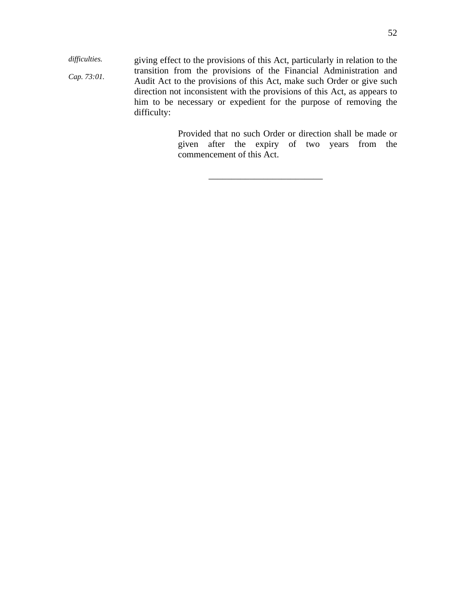*difficulties. Cap. 73:01.*  giving effect to the provisions of this Act, particularly in relation to the transition from the provisions of the Financial Administration and Audit Act to the provisions of this Act, make such Order or give such direction not inconsistent with the provisions of this Act, as appears to him to be necessary or expedient for the purpose of removing the difficulty:

> Provided that no such Order or direction shall be made or given after the expiry of two years from the commencement of this Act.

> > \_\_\_\_\_\_\_\_\_\_\_\_\_\_\_\_\_\_\_\_\_\_\_\_\_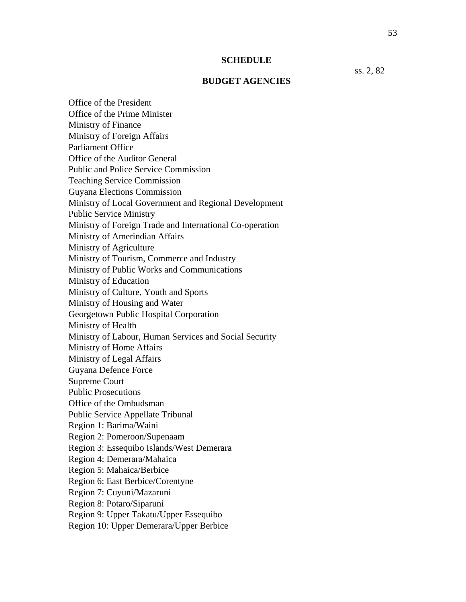#### **SCHEDULE**

ss. 2, 82

#### **BUDGET AGENCIES**

Office of the President Office of the Prime Minister Ministry of Finance Ministry of Foreign Affairs Parliament Office Office of the Auditor General Public and Police Service Commission Teaching Service Commission Guyana Elections Commission Ministry of Local Government and Regional Development Public Service Ministry Ministry of Foreign Trade and International Co-operation Ministry of Amerindian Affairs Ministry of Agriculture Ministry of Tourism, Commerce and Industry Ministry of Public Works and Communications Ministry of Education Ministry of Culture, Youth and Sports Ministry of Housing and Water Georgetown Public Hospital Corporation Ministry of Health Ministry of Labour, Human Services and Social Security Ministry of Home Affairs Ministry of Legal Affairs Guyana Defence Force Supreme Court Public Prosecutions Office of the Ombudsman Public Service Appellate Tribunal Region 1: Barima/Waini Region 2: Pomeroon/Supenaam Region 3: Essequibo Islands/West Demerara Region 4: Demerara/Mahaica Region 5: Mahaica/Berbice Region 6: East Berbice/Corentyne Region 7: Cuyuni/Mazaruni Region 8: Potaro/Siparuni Region 9: Upper Takatu/Upper Essequibo Region 10: Upper Demerara/Upper Berbice